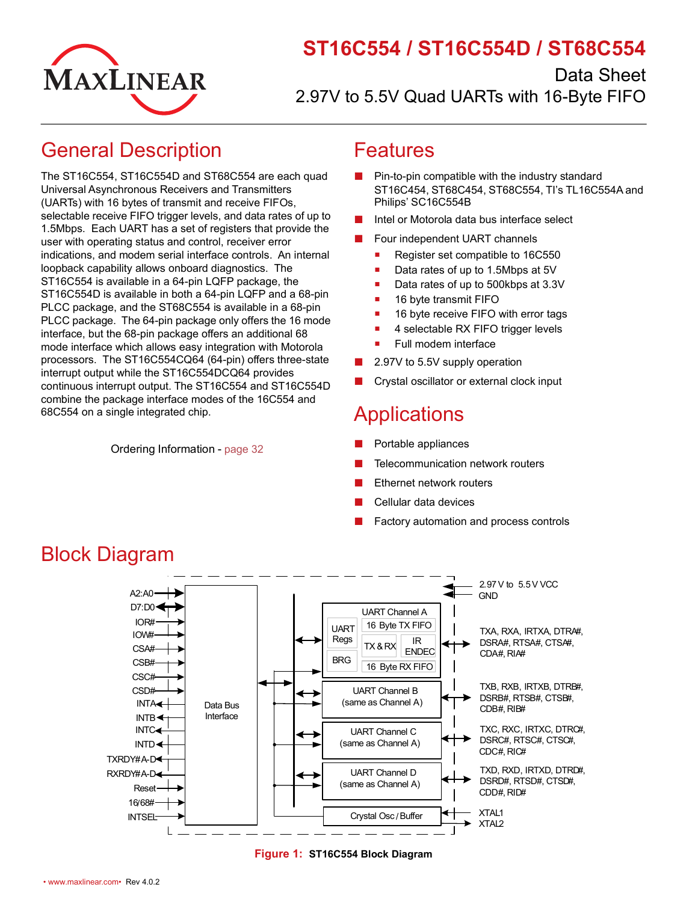

# **ST16C554 / ST16C554D / ST68C554**

Data Sheet 2.97V to 5.5V Quad UARTs with 16-Byte FIFO

## <span id="page-0-0"></span>General Description

The ST16C554, ST16C554D and ST68C554 are each quad Universal Asynchronous Receivers and Transmitters (UARTs) with 16 bytes of transmit and receive FIFOs, selectable receive FIFO trigger levels, and data rates of up to 1.5Mbps. Each UART has a set of registers that provide the user with operating status and control, receiver error indications, and modem serial interface controls. An internal loopback capability allows onboard diagnostics. The ST16C554 is available in a 64-pin LQFP package, the ST16C554D is available in both a 64-pin LQFP and a 68-pin PLCC package, and the ST68C554 is available in a 68-pin PLCC package. The 64-pin package only offers the 16 mode interface, but the 68-pin package offers an additional 68 mode interface which allows easy integration with Motorola processors. The ST16C554CQ64 (64-pin) offers three-state interrupt output while the ST16C554DCQ64 provides continuous interrupt output. The ST16C554 and ST16C554D combine the package interface modes of the 16C554 and 68C554 on a single integrated chip.

Ordering Information - [page](#page-37-0) 32

### <span id="page-0-1"></span>Features

- Pin-to-pin compatible with the industry standard ST16C454, ST68C454, ST68C554, TI's TL16C554A and Philips' SC16C554B
- Intel or Motorola data bus interface select
- Four independent UART channels
	- Register set compatible to 16C550
	- Data rates of up to 1.5Mbps at 5V
	- Data rates of up to 500kbps at 3.3V
	- 16 byte transmit FIFO
	- 16 byte receive FIFO with error tags
	- 4 selectable RX FIFO trigger levels
	- Full modem interface
- 2.97V to 5.5V supply operation
- Crystal oscillator or external clock input

## <span id="page-0-2"></span>**Applications**

- Portable appliances
- **Telecommunication network routers**
- **Ethernet network routers**
- Cellular data devices
- Factory automation and process controls



#### <span id="page-0-4"></span>**Figure 1: ST16C554 Block Diagram**

## <span id="page-0-3"></span>Block Diagram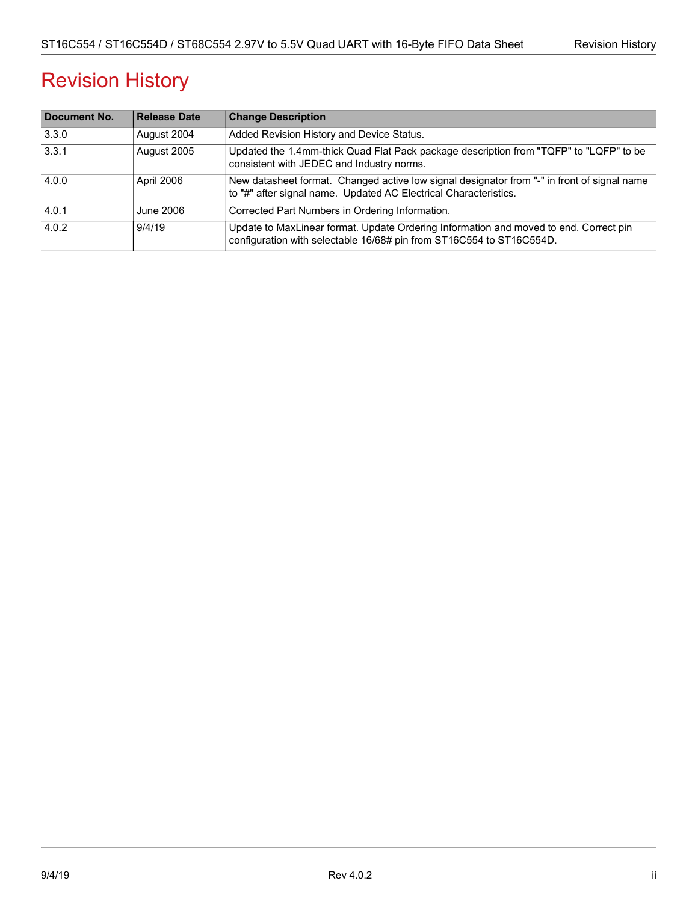# Revision History

| Document No. | <b>Release Date</b> | <b>Change Description</b>                                                                                                                                       |
|--------------|---------------------|-----------------------------------------------------------------------------------------------------------------------------------------------------------------|
| 3.3.0        | August 2004         | Added Revision History and Device Status.                                                                                                                       |
| 3.3.1        | August 2005         | Updated the 1.4mm-thick Quad Flat Pack package description from "TQFP" to "LQFP" to be<br>consistent with JEDEC and Industry norms.                             |
| 4.0.0        | April 2006          | New datasheet format. Changed active low signal designator from "-" in front of signal name<br>to "#" after signal name. Updated AC Electrical Characteristics. |
| 4.0.1        | June 2006           | Corrected Part Numbers in Ordering Information.                                                                                                                 |
| 4.0.2        | 9/4/19              | Update to MaxLinear format. Update Ordering Information and moved to end. Correct pin<br>configuration with selectable 16/68# pin from ST16C554 to ST16C554D.   |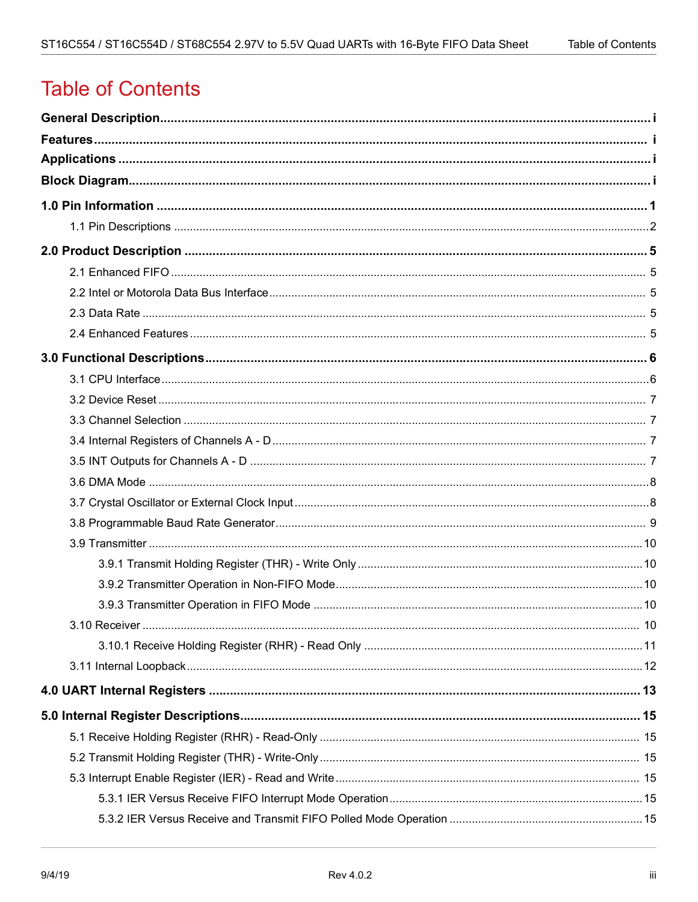# **Table of Contents**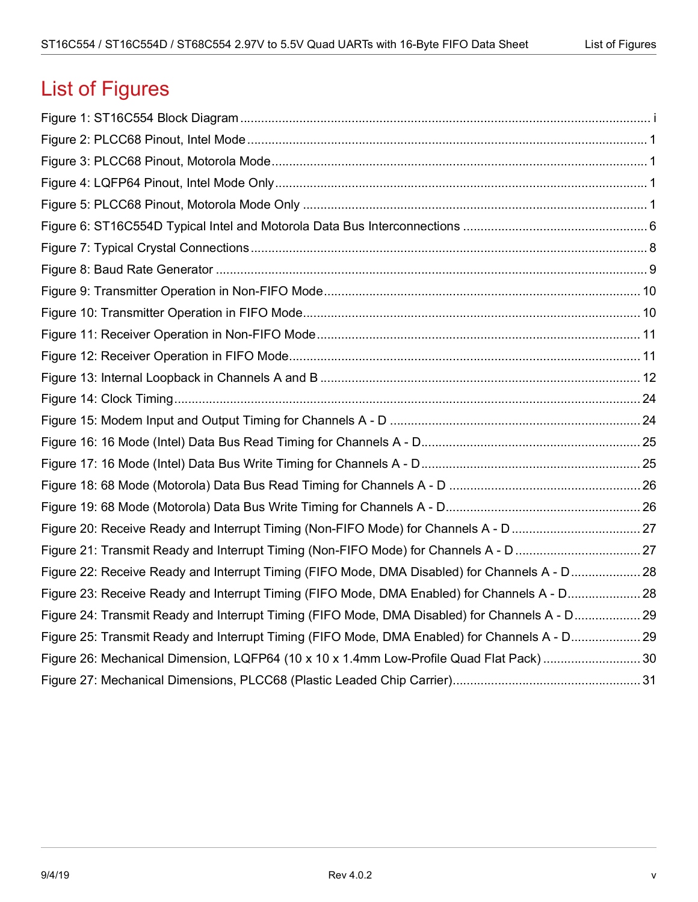# List of Figures

| Figure 22: Receive Ready and Interrupt Timing (FIFO Mode, DMA Disabled) for Channels A - D28   |  |
|------------------------------------------------------------------------------------------------|--|
| Figure 23: Receive Ready and Interrupt Timing (FIFO Mode, DMA Enabled) for Channels A - D28    |  |
| Figure 24: Transmit Ready and Interrupt Timing (FIFO Mode, DMA Disabled) for Channels A - D 29 |  |
| Figure 25: Transmit Ready and Interrupt Timing (FIFO Mode, DMA Enabled) for Channels A - D29   |  |
| Figure 26: Mechanical Dimension, LQFP64 (10 x 10 x 1.4mm Low-Profile Quad Flat Pack) 30        |  |
|                                                                                                |  |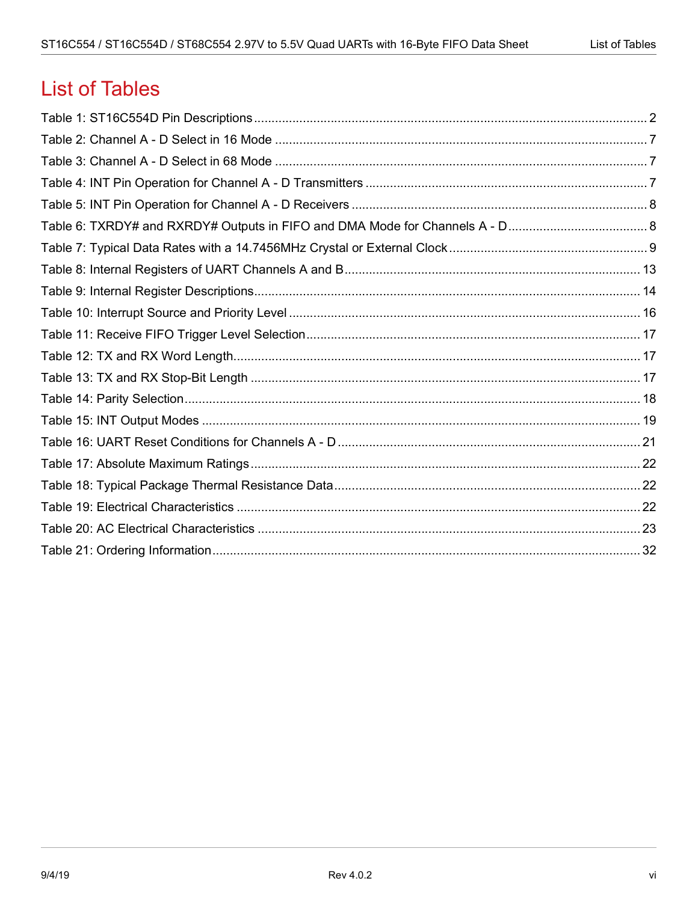# **List of Tables**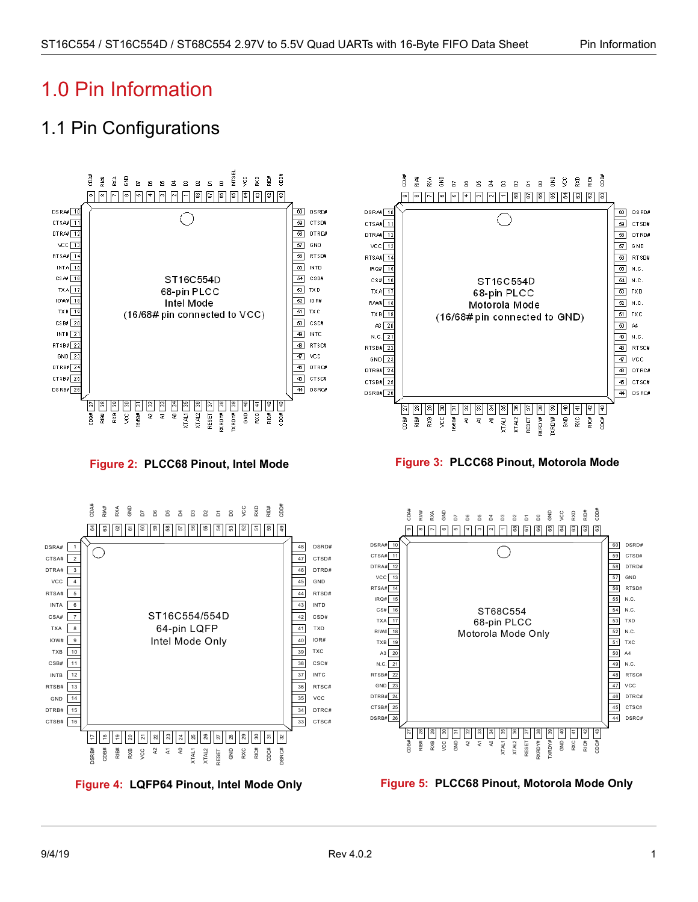# <span id="page-6-0"></span>1.0 Pin Information

# <span id="page-6-2"></span>1.1 Pin Configurations

<span id="page-6-4"></span><span id="page-6-3"></span><span id="page-6-1"></span>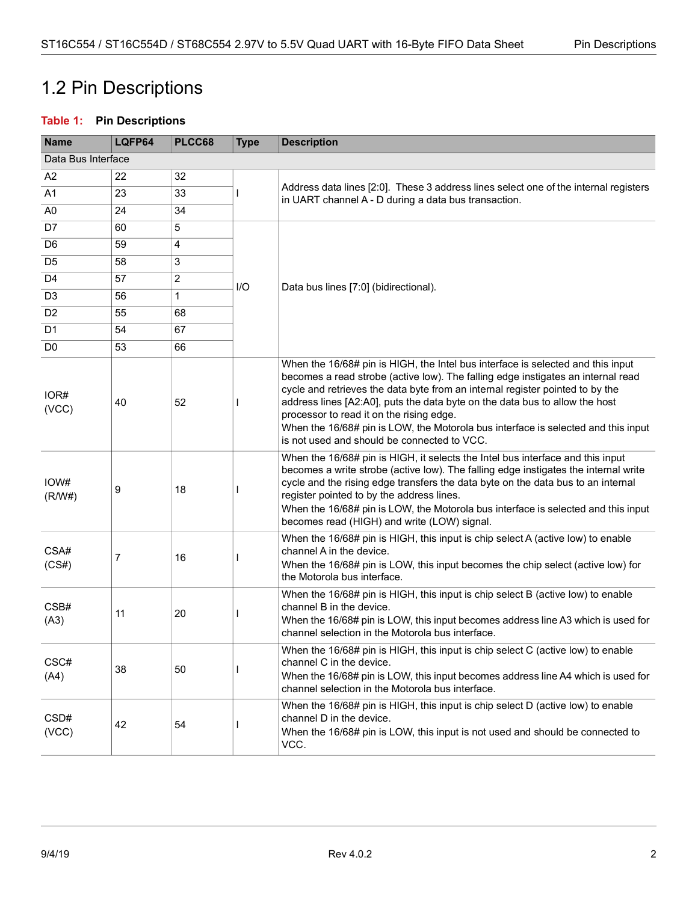## <span id="page-7-0"></span>1.2 Pin Descriptions

#### <span id="page-7-1"></span>**Table 1: Pin Descriptions**

| <b>Name</b>    | LQFP64             | PLCC68         | <b>Type</b> | <b>Description</b>                                                                                                                                                                                                                                                                                                                                                                                                                                                                                                  |  |  |
|----------------|--------------------|----------------|-------------|---------------------------------------------------------------------------------------------------------------------------------------------------------------------------------------------------------------------------------------------------------------------------------------------------------------------------------------------------------------------------------------------------------------------------------------------------------------------------------------------------------------------|--|--|
|                | Data Bus Interface |                |             |                                                                                                                                                                                                                                                                                                                                                                                                                                                                                                                     |  |  |
| A2             | 22                 | 32             |             |                                                                                                                                                                                                                                                                                                                                                                                                                                                                                                                     |  |  |
| A1             | 23                 | 33             |             | Address data lines [2:0]. These 3 address lines select one of the internal registers<br>in UART channel A - D during a data bus transaction.                                                                                                                                                                                                                                                                                                                                                                        |  |  |
| A <sub>0</sub> | 24                 | 34             |             |                                                                                                                                                                                                                                                                                                                                                                                                                                                                                                                     |  |  |
| D7             | 60                 | 5              |             |                                                                                                                                                                                                                                                                                                                                                                                                                                                                                                                     |  |  |
| D <sub>6</sub> | 59                 | 4              |             |                                                                                                                                                                                                                                                                                                                                                                                                                                                                                                                     |  |  |
| D <sub>5</sub> | 58                 | 3              |             |                                                                                                                                                                                                                                                                                                                                                                                                                                                                                                                     |  |  |
| D <sub>4</sub> | 57                 | $\overline{2}$ | I/O         | Data bus lines [7:0] (bidirectional).                                                                                                                                                                                                                                                                                                                                                                                                                                                                               |  |  |
| D <sub>3</sub> | 56                 | $\mathbf{1}$   |             |                                                                                                                                                                                                                                                                                                                                                                                                                                                                                                                     |  |  |
| D <sub>2</sub> | 55                 | 68             |             |                                                                                                                                                                                                                                                                                                                                                                                                                                                                                                                     |  |  |
| D <sub>1</sub> | 54                 | 67             |             |                                                                                                                                                                                                                                                                                                                                                                                                                                                                                                                     |  |  |
| D <sub>0</sub> | 53                 | 66             |             |                                                                                                                                                                                                                                                                                                                                                                                                                                                                                                                     |  |  |
| IOR#<br>(VCC)  | 40                 | 52             |             | When the 16/68# pin is HIGH, the Intel bus interface is selected and this input<br>becomes a read strobe (active low). The falling edge instigates an internal read<br>cycle and retrieves the data byte from an internal register pointed to by the<br>address lines [A2:A0], puts the data byte on the data bus to allow the host<br>processor to read it on the rising edge.<br>When the 16/68# pin is LOW, the Motorola bus interface is selected and this input<br>is not used and should be connected to VCC. |  |  |
| IOW#<br>(R/W#) | 9                  | 18             |             | When the 16/68# pin is HIGH, it selects the Intel bus interface and this input<br>becomes a write strobe (active low). The falling edge instigates the internal write<br>cycle and the rising edge transfers the data byte on the data bus to an internal<br>register pointed to by the address lines.<br>When the 16/68# pin is LOW, the Motorola bus interface is selected and this input<br>becomes read (HIGH) and write (LOW) signal.                                                                          |  |  |
| CSA#<br>(CS#)  | 7                  | 16             |             | When the 16/68# pin is HIGH, this input is chip select A (active low) to enable<br>channel A in the device.<br>When the 16/68# pin is LOW, this input becomes the chip select (active low) for<br>the Motorola bus interface.                                                                                                                                                                                                                                                                                       |  |  |
| CSB#<br>(A3)   | 11                 | 20             |             | When the 16/68# pin is HIGH, this input is chip select B (active low) to enable<br>channel B in the device.<br>When the 16/68# pin is LOW, this input becomes address line A3 which is used for<br>channel selection in the Motorola bus interface.                                                                                                                                                                                                                                                                 |  |  |
| CSC#<br>(A4)   | 38                 | 50             |             | When the 16/68# pin is HIGH, this input is chip select C (active low) to enable<br>channel C in the device.<br>When the 16/68# pin is LOW, this input becomes address line A4 which is used for<br>channel selection in the Motorola bus interface.                                                                                                                                                                                                                                                                 |  |  |
| CSD#<br>(VCC)  | 42                 | 54             |             | When the 16/68# pin is HIGH, this input is chip select D (active low) to enable<br>channel D in the device.<br>When the 16/68# pin is LOW, this input is not used and should be connected to<br>VCC.                                                                                                                                                                                                                                                                                                                |  |  |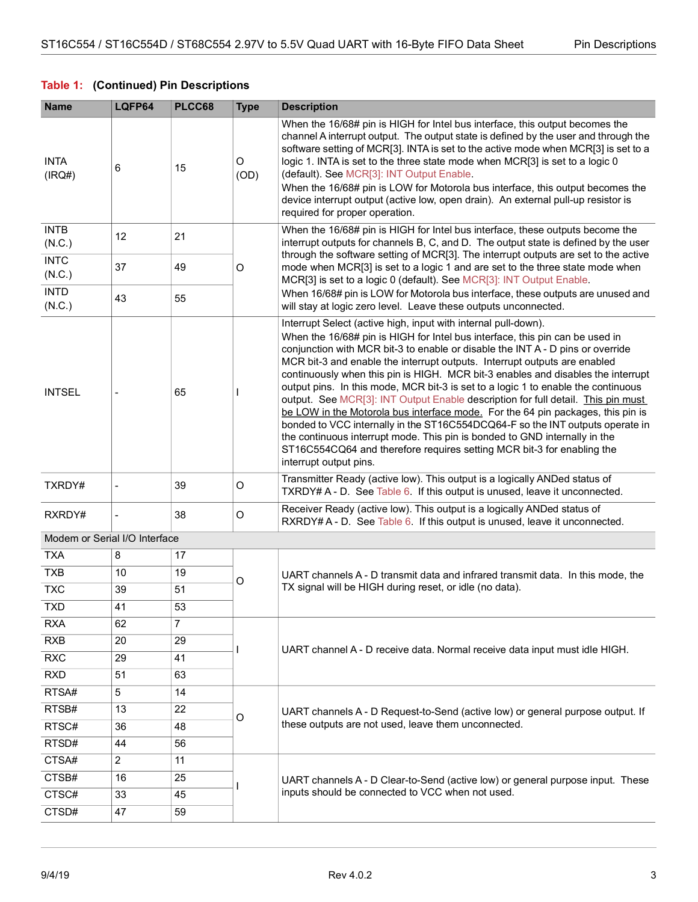#### **Table 1: (Continued) Pin Descriptions**

| <b>Name</b>                   | LQFP64         | PLCC68 | <b>Type</b>                                      | <b>Description</b>                                                                                                                                                                                                                                                                                                                                                                                                                                                                                                                                                                                                                                                                                                                                                                                                                                                                                                               |  |
|-------------------------------|----------------|--------|--------------------------------------------------|----------------------------------------------------------------------------------------------------------------------------------------------------------------------------------------------------------------------------------------------------------------------------------------------------------------------------------------------------------------------------------------------------------------------------------------------------------------------------------------------------------------------------------------------------------------------------------------------------------------------------------------------------------------------------------------------------------------------------------------------------------------------------------------------------------------------------------------------------------------------------------------------------------------------------------|--|
| <b>INTA</b><br>(IRQ#)         | 6              | 15     | O<br>(OD)                                        | When the 16/68# pin is HIGH for Intel bus interface, this output becomes the<br>channel A interrupt output. The output state is defined by the user and through the<br>software setting of MCR[3]. INTA is set to the active mode when MCR[3] is set to a<br>logic 1. INTA is set to the three state mode when MCR[3] is set to a logic 0<br>(default). See MCR[3]: INT Output Enable.<br>When the 16/68# pin is LOW for Motorola bus interface, this output becomes the<br>device interrupt output (active low, open drain). An external pull-up resistor is<br>required for proper operation.                                                                                                                                                                                                                                                                                                                                  |  |
| <b>INTB</b><br>(N.C.)         | 12             | 21     |                                                  | When the 16/68# pin is HIGH for Intel bus interface, these outputs become the<br>interrupt outputs for channels B, C, and D. The output state is defined by the user<br>through the software setting of MCR[3]. The interrupt outputs are set to the active                                                                                                                                                                                                                                                                                                                                                                                                                                                                                                                                                                                                                                                                      |  |
| <b>INTC</b><br>(N.C.)         | 37             | 49     | O                                                | mode when MCR[3] is set to a logic 1 and are set to the three state mode when<br>MCR[3] is set to a logic 0 (default). See MCR[3]: INT Output Enable.                                                                                                                                                                                                                                                                                                                                                                                                                                                                                                                                                                                                                                                                                                                                                                            |  |
| <b>INTD</b><br>(N.C.)         | 43             | 55     |                                                  | When 16/68# pin is LOW for Motorola bus interface, these outputs are unused and<br>will stay at logic zero level. Leave these outputs unconnected.                                                                                                                                                                                                                                                                                                                                                                                                                                                                                                                                                                                                                                                                                                                                                                               |  |
| <b>INTSEL</b>                 |                | 65     |                                                  | Interrupt Select (active high, input with internal pull-down).<br>When the 16/68# pin is HIGH for Intel bus interface, this pin can be used in<br>conjunction with MCR bit-3 to enable or disable the INT A - D pins or override<br>MCR bit-3 and enable the interrupt outputs. Interrupt outputs are enabled<br>continuously when this pin is HIGH. MCR bit-3 enables and disables the interrupt<br>output pins. In this mode, MCR bit-3 is set to a logic 1 to enable the continuous<br>output. See MCR[3]: INT Output Enable description for full detail. This pin must<br>be LOW in the Motorola bus interface mode. For the 64 pin packages, this pin is<br>bonded to VCC internally in the ST16C554DCQ64-F so the INT outputs operate in<br>the continuous interrupt mode. This pin is bonded to GND internally in the<br>ST16C554CQ64 and therefore requires setting MCR bit-3 for enabling the<br>interrupt output pins. |  |
| TXRDY#                        |                | 39     | O                                                | Transmitter Ready (active low). This output is a logically ANDed status of<br>TXRDY# A - D. See Table 6. If this output is unused, leave it unconnected.                                                                                                                                                                                                                                                                                                                                                                                                                                                                                                                                                                                                                                                                                                                                                                         |  |
| RXRDY#                        |                | 38     | O                                                | Receiver Ready (active low). This output is a logically ANDed status of<br>RXRDY# A - D. See Table 6. If this output is unused, leave it unconnected.                                                                                                                                                                                                                                                                                                                                                                                                                                                                                                                                                                                                                                                                                                                                                                            |  |
| Modem or Serial I/O Interface |                |        |                                                  |                                                                                                                                                                                                                                                                                                                                                                                                                                                                                                                                                                                                                                                                                                                                                                                                                                                                                                                                  |  |
| <b>TXA</b>                    | 8              | 17     |                                                  |                                                                                                                                                                                                                                                                                                                                                                                                                                                                                                                                                                                                                                                                                                                                                                                                                                                                                                                                  |  |
| <b>TXB</b>                    | 10             | 19     | O                                                | UART channels A - D transmit data and infrared transmit data. In this mode, the                                                                                                                                                                                                                                                                                                                                                                                                                                                                                                                                                                                                                                                                                                                                                                                                                                                  |  |
| <b>TXC</b>                    | 39             | 51     |                                                  | TX signal will be HIGH during reset, or idle (no data).                                                                                                                                                                                                                                                                                                                                                                                                                                                                                                                                                                                                                                                                                                                                                                                                                                                                          |  |
| <b>TXD</b>                    | 41             | 53     |                                                  |                                                                                                                                                                                                                                                                                                                                                                                                                                                                                                                                                                                                                                                                                                                                                                                                                                                                                                                                  |  |
| <b>RXA</b>                    | 62             | 7      |                                                  |                                                                                                                                                                                                                                                                                                                                                                                                                                                                                                                                                                                                                                                                                                                                                                                                                                                                                                                                  |  |
| <b>RXB</b>                    | 20             | 29     |                                                  | UART channel A - D receive data. Normal receive data input must idle HIGH.                                                                                                                                                                                                                                                                                                                                                                                                                                                                                                                                                                                                                                                                                                                                                                                                                                                       |  |
| <b>RXC</b>                    | 29             | 41     |                                                  |                                                                                                                                                                                                                                                                                                                                                                                                                                                                                                                                                                                                                                                                                                                                                                                                                                                                                                                                  |  |
| <b>RXD</b>                    | 51             | 63     |                                                  |                                                                                                                                                                                                                                                                                                                                                                                                                                                                                                                                                                                                                                                                                                                                                                                                                                                                                                                                  |  |
| RTSA#                         | 5              | 14     |                                                  |                                                                                                                                                                                                                                                                                                                                                                                                                                                                                                                                                                                                                                                                                                                                                                                                                                                                                                                                  |  |
| RTSB#                         | 13             | 22     |                                                  | UART channels A - D Request-to-Send (active low) or general purpose output. If                                                                                                                                                                                                                                                                                                                                                                                                                                                                                                                                                                                                                                                                                                                                                                                                                                                   |  |
| RTSC#                         | 36             | 48     | O                                                | these outputs are not used, leave them unconnected.                                                                                                                                                                                                                                                                                                                                                                                                                                                                                                                                                                                                                                                                                                                                                                                                                                                                              |  |
| RTSD#                         | 44             | 56     |                                                  |                                                                                                                                                                                                                                                                                                                                                                                                                                                                                                                                                                                                                                                                                                                                                                                                                                                                                                                                  |  |
| CTSA#                         | $\overline{c}$ | 11     |                                                  |                                                                                                                                                                                                                                                                                                                                                                                                                                                                                                                                                                                                                                                                                                                                                                                                                                                                                                                                  |  |
| CTSB#                         | 16             | 25     |                                                  | UART channels A - D Clear-to-Send (active low) or general purpose input. These                                                                                                                                                                                                                                                                                                                                                                                                                                                                                                                                                                                                                                                                                                                                                                                                                                                   |  |
| CTSC#                         | 33             | 45     | inputs should be connected to VCC when not used. |                                                                                                                                                                                                                                                                                                                                                                                                                                                                                                                                                                                                                                                                                                                                                                                                                                                                                                                                  |  |
| CTSD#                         | 47             | 59     |                                                  |                                                                                                                                                                                                                                                                                                                                                                                                                                                                                                                                                                                                                                                                                                                                                                                                                                                                                                                                  |  |
|                               |                |        |                                                  |                                                                                                                                                                                                                                                                                                                                                                                                                                                                                                                                                                                                                                                                                                                                                                                                                                                                                                                                  |  |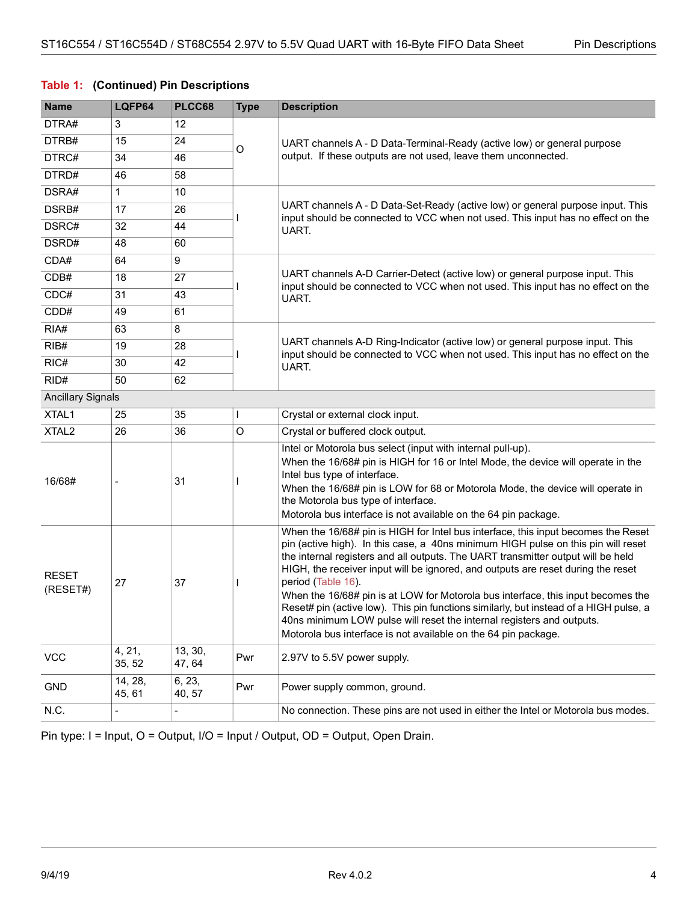#### **Table 1: (Continued) Pin Descriptions**

| <b>Name</b>              | LQFP64                   | PLCC68                   | <b>Type</b> | <b>Description</b>                                                                                                                                                                                                                                                                                                                                                                                                                                                                                                                                                                                                                                                                           |  |  |
|--------------------------|--------------------------|--------------------------|-------------|----------------------------------------------------------------------------------------------------------------------------------------------------------------------------------------------------------------------------------------------------------------------------------------------------------------------------------------------------------------------------------------------------------------------------------------------------------------------------------------------------------------------------------------------------------------------------------------------------------------------------------------------------------------------------------------------|--|--|
| DTRA#                    | 3                        | 12                       |             |                                                                                                                                                                                                                                                                                                                                                                                                                                                                                                                                                                                                                                                                                              |  |  |
| DTRB#                    | 15                       | 24                       | O           | UART channels A - D Data-Terminal-Ready (active low) or general purpose                                                                                                                                                                                                                                                                                                                                                                                                                                                                                                                                                                                                                      |  |  |
| DTRC#                    | 34                       | 46                       |             | output. If these outputs are not used, leave them unconnected.                                                                                                                                                                                                                                                                                                                                                                                                                                                                                                                                                                                                                               |  |  |
| DTRD#                    | 46                       | 58                       |             |                                                                                                                                                                                                                                                                                                                                                                                                                                                                                                                                                                                                                                                                                              |  |  |
| DSRA#                    | $\mathbf{1}$             | 10                       |             |                                                                                                                                                                                                                                                                                                                                                                                                                                                                                                                                                                                                                                                                                              |  |  |
| DSRB#                    | 17                       | 26                       |             | UART channels A - D Data-Set-Ready (active low) or general purpose input. This<br>input should be connected to VCC when not used. This input has no effect on the                                                                                                                                                                                                                                                                                                                                                                                                                                                                                                                            |  |  |
| DSRC#                    | 32                       | 44                       |             | UART.                                                                                                                                                                                                                                                                                                                                                                                                                                                                                                                                                                                                                                                                                        |  |  |
| DSRD#                    | 48                       | 60                       |             |                                                                                                                                                                                                                                                                                                                                                                                                                                                                                                                                                                                                                                                                                              |  |  |
| CDA#                     | 64                       | 9                        |             |                                                                                                                                                                                                                                                                                                                                                                                                                                                                                                                                                                                                                                                                                              |  |  |
| CDB#                     | 18                       | 27                       |             | UART channels A-D Carrier-Detect (active low) or general purpose input. This<br>input should be connected to VCC when not used. This input has no effect on the                                                                                                                                                                                                                                                                                                                                                                                                                                                                                                                              |  |  |
| CDC#                     | 31                       | 43                       |             | UART.                                                                                                                                                                                                                                                                                                                                                                                                                                                                                                                                                                                                                                                                                        |  |  |
| CDD#                     | 49                       | 61                       |             |                                                                                                                                                                                                                                                                                                                                                                                                                                                                                                                                                                                                                                                                                              |  |  |
| RIA#                     | 63                       | 8                        |             |                                                                                                                                                                                                                                                                                                                                                                                                                                                                                                                                                                                                                                                                                              |  |  |
| RIB#                     | 19                       | 28                       |             | UART channels A-D Ring-Indicator (active low) or general purpose input. This<br>input should be connected to VCC when not used. This input has no effect on the                                                                                                                                                                                                                                                                                                                                                                                                                                                                                                                              |  |  |
| RIC#                     | 30                       | 42                       |             | UART.                                                                                                                                                                                                                                                                                                                                                                                                                                                                                                                                                                                                                                                                                        |  |  |
| RID#                     | 50                       | 62                       |             |                                                                                                                                                                                                                                                                                                                                                                                                                                                                                                                                                                                                                                                                                              |  |  |
| <b>Ancillary Signals</b> |                          |                          |             |                                                                                                                                                                                                                                                                                                                                                                                                                                                                                                                                                                                                                                                                                              |  |  |
| XTAL1                    | 25                       | 35                       |             | Crystal or external clock input.                                                                                                                                                                                                                                                                                                                                                                                                                                                                                                                                                                                                                                                             |  |  |
| XTAL <sub>2</sub>        | 26                       | 36                       | O           | Crystal or buffered clock output.                                                                                                                                                                                                                                                                                                                                                                                                                                                                                                                                                                                                                                                            |  |  |
| 16/68#                   |                          | 31                       |             | Intel or Motorola bus select (input with internal pull-up).<br>When the 16/68# pin is HIGH for 16 or Intel Mode, the device will operate in the<br>Intel bus type of interface.<br>When the 16/68# pin is LOW for 68 or Motorola Mode, the device will operate in<br>the Motorola bus type of interface.<br>Motorola bus interface is not available on the 64 pin package.                                                                                                                                                                                                                                                                                                                   |  |  |
| <b>RESET</b><br>(RESET#) | 27                       | 37                       |             | When the 16/68# pin is HIGH for Intel bus interface, this input becomes the Reset<br>pin (active high). In this case, a 40ns minimum HIGH pulse on this pin will reset<br>the internal registers and all outputs. The UART transmitter output will be held<br>HIGH, the receiver input will be ignored, and outputs are reset during the reset<br>period (Table 16).<br>When the 16/68# pin is at LOW for Motorola bus interface, this input becomes the<br>Reset# pin (active low). This pin functions similarly, but instead of a HIGH pulse, a<br>40ns minimum LOW pulse will reset the internal registers and outputs.<br>Motorola bus interface is not available on the 64 pin package. |  |  |
| <b>VCC</b>               | 4, 21,<br>35, 52         | 13, 30,<br>47, 64        | Pwr         | 2.97V to 5.5V power supply.                                                                                                                                                                                                                                                                                                                                                                                                                                                                                                                                                                                                                                                                  |  |  |
| <b>GND</b>               | 14, 28,<br>45, 61        | 6, 23,<br>40, 57         | Pwr         | Power supply common, ground.                                                                                                                                                                                                                                                                                                                                                                                                                                                                                                                                                                                                                                                                 |  |  |
| N.C.                     | $\overline{\phantom{a}}$ | $\overline{\phantom{0}}$ |             | No connection. These pins are not used in either the Intel or Motorola bus modes.                                                                                                                                                                                                                                                                                                                                                                                                                                                                                                                                                                                                            |  |  |

Pin type: I = Input, O = Output, I/O = Input / Output, OD = Output, Open Drain.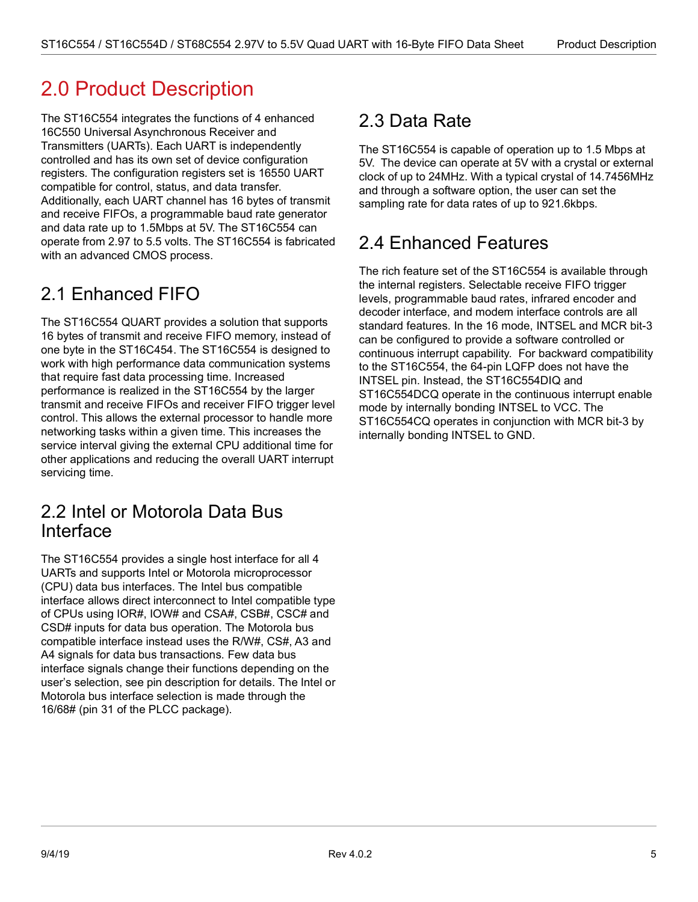# <span id="page-10-0"></span>2.0 Product Description

The ST16C554 integrates the functions of 4 enhanced 16C550 Universal Asynchronous Receiver and Transmitters (UARTs). Each UART is independently controlled and has its own set of device configuration registers. The configuration registers set is 16550 UART compatible for control, status, and data transfer. Additionally, each UART channel has 16 bytes of transmit and receive FIFOs, a programmable baud rate generator and data rate up to 1.5Mbps at 5V. The ST16C554 can operate from 2.97 to 5.5 volts. The ST16C554 is fabricated with an advanced CMOS process.

## <span id="page-10-1"></span>2.1 Enhanced FIFO

The ST16C554 QUART provides a solution that supports 16 bytes of transmit and receive FIFO memory, instead of one byte in the ST16C454. The ST16C554 is designed to work with high performance data communication systems that require fast data processing time. Increased performance is realized in the ST16C554 by the larger transmit and receive FIFOs and receiver FIFO trigger level control. This allows the external processor to handle more networking tasks within a given time. This increases the service interval giving the external CPU additional time for other applications and reducing the overall UART interrupt servicing time.

## <span id="page-10-2"></span>2.2 Intel or Motorola Data Bus Interface

The ST16C554 provides a single host interface for all 4 UARTs and supports Intel or Motorola microprocessor (CPU) data bus interfaces. The Intel bus compatible interface allows direct interconnect to Intel compatible type of CPUs using IOR#, IOW# and CSA#, CSB#, CSC# and CSD# inputs for data bus operation. The Motorola bus compatible interface instead uses the R/W#, CS#, A3 and A4 signals for data bus transactions. Few data bus interface signals change their functions depending on the user's selection, see pin description for details. The Intel or Motorola bus interface selection is made through the 16/68# (pin 31 of the PLCC package).

# <span id="page-10-3"></span>2.3 Data Rate

The ST16C554 is capable of operation up to 1.5 Mbps at 5V. The device can operate at 5V with a crystal or external clock of up to 24MHz. With a typical crystal of 14.7456MHz and through a software option, the user can set the sampling rate for data rates of up to 921.6kbps.

## <span id="page-10-4"></span>2.4 Enhanced Features

The rich feature set of the ST16C554 is available through the internal registers. Selectable receive FIFO trigger levels, programmable baud rates, infrared encoder and decoder interface, and modem interface controls are all standard features. In the 16 mode, INTSEL and MCR bit-3 can be configured to provide a software controlled or continuous interrupt capability. For backward compatibility to the ST16C554, the 64-pin LQFP does not have the INTSEL pin. Instead, the ST16C554DIQ and ST16C554DCQ operate in the continuous interrupt enable mode by internally bonding INTSEL to VCC. The ST16C554CQ operates in conjunction with MCR bit-3 by internally bonding INTSEL to GND.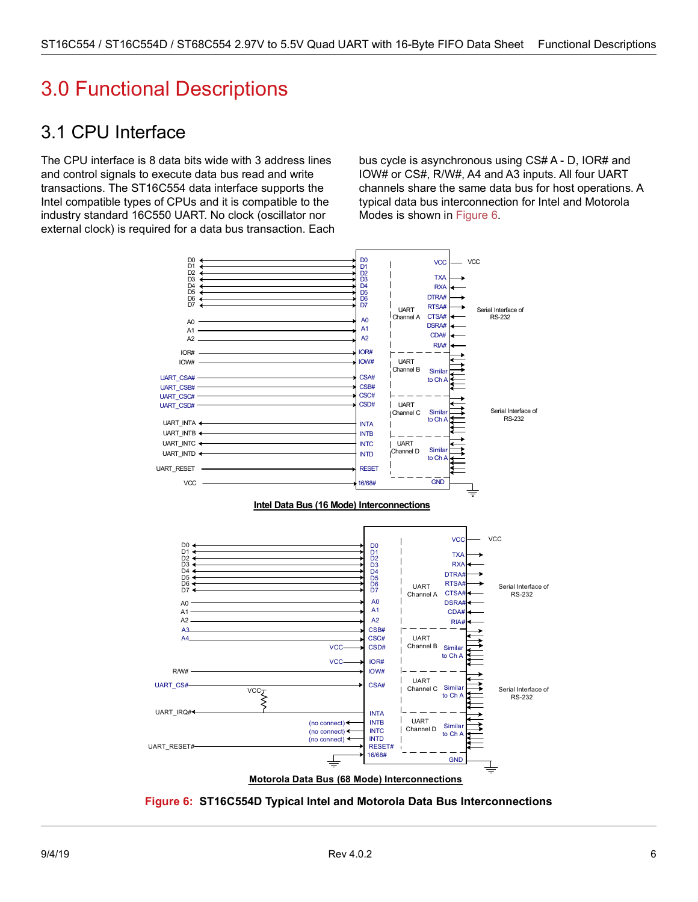# <span id="page-11-0"></span>3.0 Functional Descriptions

## <span id="page-11-1"></span>3.1 CPU Interface

The CPU interface is 8 data bits wide with 3 address lines and control signals to execute data bus read and write transactions. The ST16C554 data interface supports the Intel compatible types of CPUs and it is compatible to the industry standard 16C550 UART. No clock (oscillator nor external clock) is required for a data bus transaction. Each bus cycle is asynchronous using CS# A - D, IOR# and IOW# or CS#, R/W#, A4 and A3 inputs. All four UART channels share the same data bus for host operations. A typical data bus interconnection for Intel and Motorola Modes is shown in [Figure 6.](#page-11-2)



**Motorola Data Bus (68 Mode) Interconnections**

<span id="page-11-2"></span>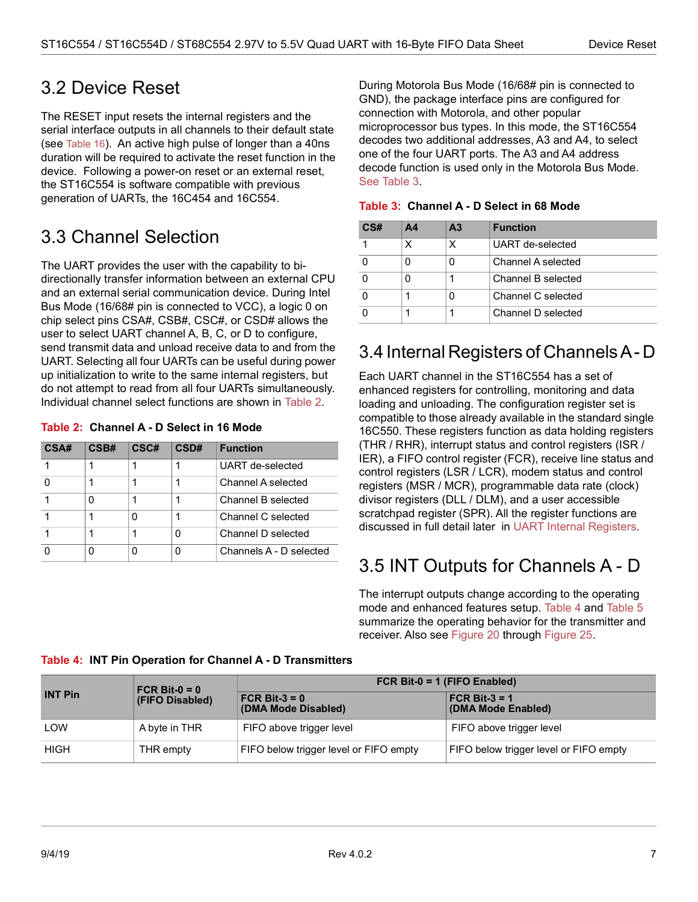### <span id="page-12-0"></span>3.2 Device Reset

The RESET input resets the internal registers and the serial interface outputs in all channels to their default state (see [Table 16](#page-26-1)). An active high pulse of longer than a 40ns duration will be required to activate the reset function in the device. Following a power-on reset or an external reset, the ST16C554 is software compatible with previous generation of UARTs, the 16C454 and 16C554.

## <span id="page-12-1"></span>3.3 Channel Selection

The UART provides the user with the capability to bidirectionally transfer information between an external CPU and an external serial communication device. During Intel Bus Mode (16/68# pin is connected to VCC), a logic 0 on chip select pins CSA#, CSB#, CSC#, or CSD# allows the user to select UART channel A, B, C, or D to configure, send transmit data and unload receive data to and from the UART. Selecting all four UARTs can be useful during power up initialization to write to the same internal registers, but do not attempt to read from all four UARTs simultaneously. Individual channel select functions are shown in [Table 2](#page-12-4).

#### <span id="page-12-4"></span>**Table 2: Channel A - D Select in 16 Mode**

| CSA# | CSB# | CSC# | CSD# | <b>Function</b>         |
|------|------|------|------|-------------------------|
|      |      |      |      | UART de-selected        |
|      |      |      |      | Channel A selected      |
|      |      |      |      | Channel B selected      |
|      |      |      |      | Channel C selected      |
|      |      |      | Ω    | Channel D selected      |
|      |      |      | Ω    | Channels A - D selected |

During Motorola Bus Mode (16/68# pin is connected to GND), the package interface pins are configured for connection with Motorola, and other popular microprocessor bus types. In this mode, the ST16C554 decodes two additional addresses, A3 and A4, to select one of the four UART ports. The A3 and A4 address decode function is used only in the Motorola Bus Mode. [See Table](#page-12-5) 3.

| CS# | A4 | A <sub>3</sub> | <b>Function</b>    |
|-----|----|----------------|--------------------|
|     |    |                | UART de-selected   |
|     |    |                | Channel A selected |
|     |    |                | Channel B selected |
|     |    |                | Channel C selected |
|     |    |                | Channel D selected |

#### <span id="page-12-5"></span>**Table 3: Channel A - D Select in 68 Mode**

### <span id="page-12-2"></span>3.4 Internal Registers of Channels A - D

Each UART channel in the ST16C554 has a set of enhanced registers for controlling, monitoring and data loading and unloading. The configuration register set is compatible to those already available in the standard single 16C550. These registers function as data holding registers (THR / RHR), interrupt status and control registers (ISR / IER), a FIFO control register (FCR), receive line status and control registers (LSR / LCR), modem status and control registers (MSR / MCR), programmable data rate (clock) divisor registers (DLL / DLM), and a user accessible scratchpad register (SPR). All the register functions are discussed in full detail later in [UART Internal Registers](#page-18-0).

## <span id="page-12-3"></span>3.5 INT Outputs for Channels A - D

The interrupt outputs change according to the operating mode and enhanced features setup. [Table 4](#page-12-6) and [Table 5](#page-13-3) summarize the operating behavior for the transmitter and receiver. Also see [Figure 20](#page-32-0) through [Figure 25.](#page-34-1)

|                                   | FCR Bit- $0 = 0$ | FCR Bit-0 = 1 (FIFO Enabled)                   |                                        |  |  |
|-----------------------------------|------------------|------------------------------------------------|----------------------------------------|--|--|
| <b>INT Pin</b><br>(FIFO Disabled) |                  | $FCR \text{ Bit-3} = 0$<br>(DMA Mode Disabled) | $FCR$ Bit-3 = 1<br>(DMA Mode Enabled)  |  |  |
| LOW                               | A byte in THR    | FIFO above trigger level                       | FIFO above trigger level               |  |  |
| <b>HIGH</b>                       | THR empty        | FIFO below trigger level or FIFO empty         | FIFO below trigger level or FIFO empty |  |  |

#### <span id="page-12-6"></span>**Table 4: INT Pin Operation for Channel A - D Transmitters**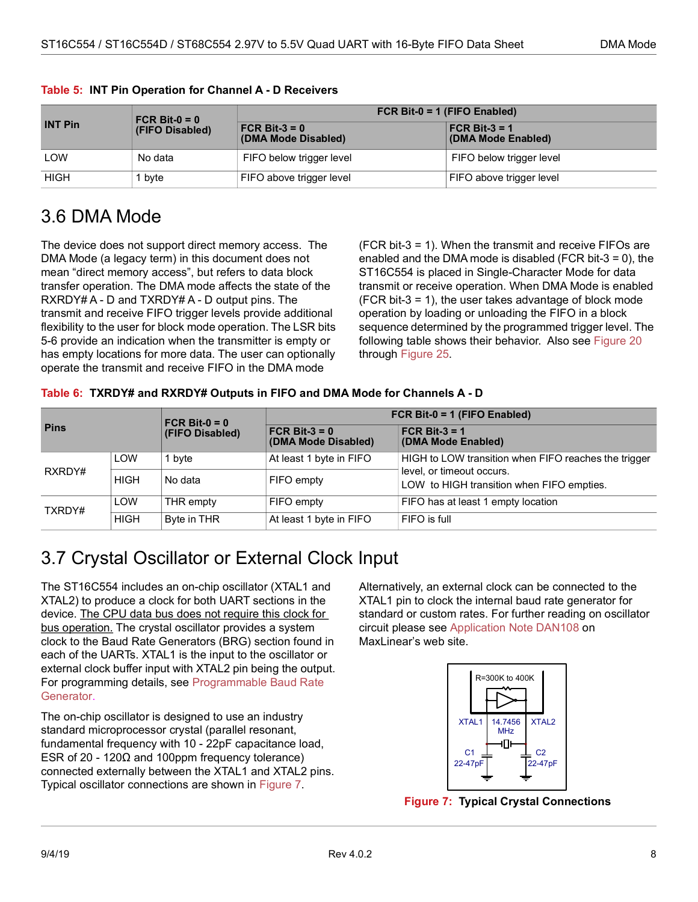|                | $FCR$ Bit-0 = 0<br>(FIFO Disabled) | FCR Bit-0 = 1 (FIFO Enabled)                   |                                       |  |  |
|----------------|------------------------------------|------------------------------------------------|---------------------------------------|--|--|
| <b>INT Pin</b> |                                    | $FCR \text{ Bit-3} = 0$<br>(DMA Mode Disabled) | $FCR$ Bit-3 = 1<br>(DMA Mode Enabled) |  |  |
| LOW            | No data                            | FIFO below trigger level                       | FIFO below trigger level              |  |  |
| <b>HIGH</b>    | 1 byte                             | FIFO above trigger level                       | FIFO above trigger level              |  |  |

#### <span id="page-13-3"></span>**Table 5: INT Pin Operation for Channel A - D Receivers**

## <span id="page-13-0"></span>3.6 DMA Mode

The device does not support direct memory access. The DMA Mode (a legacy term) in this document does not mean "direct memory access", but refers to data block transfer operation. The DMA mode affects the state of the RXRDY# A - D and TXRDY# A - D output pins. The transmit and receive FIFO trigger levels provide additional flexibility to the user for block mode operation. The LSR bits 5-6 provide an indication when the transmitter is empty or has empty locations for more data. The user can optionally operate the transmit and receive FIFO in the DMA mode

(FCR bit-3 = 1). When the transmit and receive FIFOs are enabled and the DMA mode is disabled (FCR bit-3 = 0), the ST16C554 is placed in Single-Character Mode for data transmit or receive operation. When DMA Mode is enabled (FCR bit-3 = 1), the user takes advantage of block mode operation by loading or unloading the FIFO in a block sequence determined by the programmed trigger level. The following table shows their behavior. Also see [Figure 20](#page-32-0) through [Figure 25.](#page-34-1)

#### <span id="page-13-4"></span>**Table 6: TXRDY# and RXRDY# Outputs in FIFO and DMA Mode for Channels A - D**

| <b>Pins</b> |             | FCR Bit- $0 = 0$ | FCR Bit-0 = 1 (FIFO Enabled)            |                                                                        |  |  |  |
|-------------|-------------|------------------|-----------------------------------------|------------------------------------------------------------------------|--|--|--|
|             |             | (FIFO Disabled)  | FCR Bit- $3 = 0$<br>(DMA Mode Disabled) | FCR Bit- $3 = 1$<br>(DMA Mode Enabled)                                 |  |  |  |
| RXRDY#      | LOW         | 1 bvte           | At least 1 byte in FIFO                 | HIGH to LOW transition when FIFO reaches the trigger                   |  |  |  |
|             | <b>HIGH</b> | No data          | FIFO empty                              | level, or timeout occurs.<br>LOW to HIGH transition when FIFO empties. |  |  |  |
| TXRDY#      | LOW         | THR empty        | FIFO empty                              | FIFO has at least 1 empty location                                     |  |  |  |
|             | <b>HIGH</b> | Byte in THR      | At least 1 byte in FIFO                 | FIFO is full                                                           |  |  |  |

## <span id="page-13-1"></span>3.7 Crystal Oscillator or External Clock Input

The ST16C554 includes an on-chip oscillator (XTAL1 and XTAL2) to produce a clock for both UART sections in the device. The CPU data bus does not require this clock for bus operation. The crystal oscillator provides a system clock to the Baud Rate Generators (BRG) section found in each of the UARTs. XTAL1 is the input to the oscillator or external clock buffer input with XTAL2 pin being the output. For programming details, see [Programmable Baud Rate](#page-14-0)  [Generator.](#page-14-0)

The on-chip oscillator is designed to use an industry standard microprocessor crystal (parallel resonant, fundamental frequency with 10 - 22pF capacitance load, ESR of 20 - 120 $\Omega$  and 100ppm frequency tolerance) connected externally between the XTAL1 and XTAL2 pins. Typical oscillator connections are shown in [Figure 7](#page-13-2).

Alternatively, an external clock can be connected to the XTAL1 pin to clock the internal baud rate generator for standard or custom rates. For further reading on oscillator circuit please see [Application Note DAN108](http://www.maxlinear.com/appnote/dan108.pdf) on MaxLinear's web site.



<span id="page-13-2"></span>**Figure 7: Typical Crystal Connections**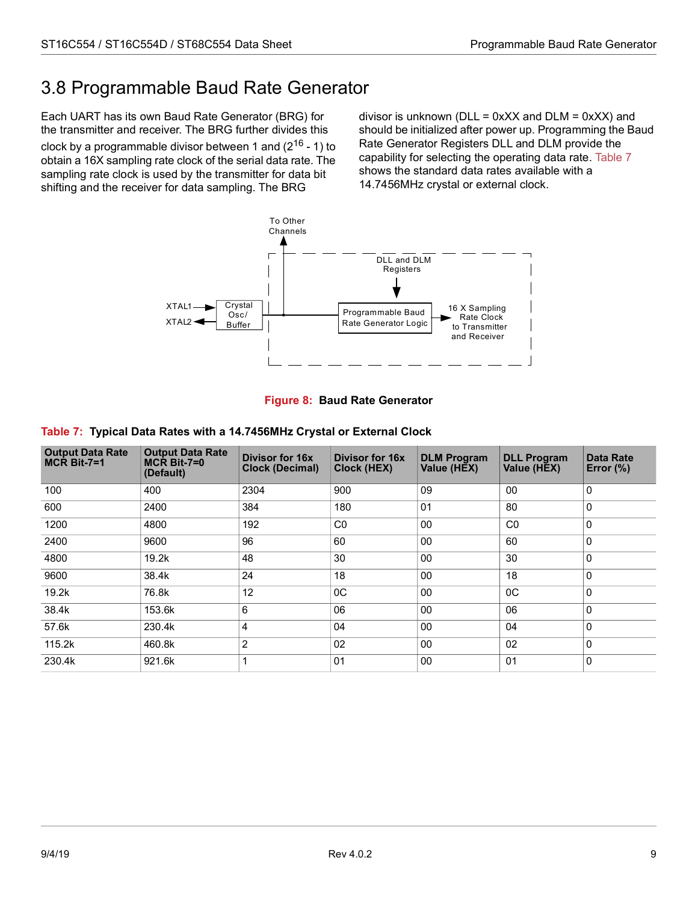# <span id="page-14-0"></span>3.8 Programmable Baud Rate Generator

Each UART has its own Baud Rate Generator (BRG) for the transmitter and receiver. The BRG further divides this clock by a programmable divisor between 1 and  $(2^{16} - 1)$  to obtain a 16X sampling rate clock of the serial data rate. The sampling rate clock is used by the transmitter for data bit shifting and the receiver for data sampling. The BRG

divisor is unknown ( $DLL = 0xXX$  and  $DLM = 0xXX$ ) and should be initialized after power up. Programming the Baud Rate Generator Registers DLL and DLM provide the capability for selecting the operating data rate. [Table 7](#page-14-2) shows the standard data rates available with a 14.7456MHz crystal or external clock.





<span id="page-14-2"></span><span id="page-14-1"></span>

|  | Table 7: Typical Data Rates with a 14.7456MHz Crystal or External Clock |  |  |
|--|-------------------------------------------------------------------------|--|--|
|  |                                                                         |  |  |

| <b>Output Data Rate</b><br>$MCR$ Bit-7=1 | <b>Output Data Rate</b><br>$MCR$ Bit-7=0<br>(Default) | Divisor for 16x<br><b>Clock (Decimal)</b> | Divisor for 16x<br><b>Clock (HEX)</b> | <b>DLM Program</b><br>Value (HEX) | <b>DLL Program</b><br>Value (HEX) | Data Rate<br>Error $(\%)$ |
|------------------------------------------|-------------------------------------------------------|-------------------------------------------|---------------------------------------|-----------------------------------|-----------------------------------|---------------------------|
| 100                                      | 400                                                   | 2304                                      | 900                                   | 09                                | 00                                | $\Omega$                  |
| 600                                      | 2400                                                  | 384                                       | 180                                   | 0 <sub>1</sub>                    | 80                                | $\Omega$                  |
| 1200                                     | 4800                                                  | 192                                       | CO                                    | 00                                | CO                                | $\Omega$                  |
| 2400                                     | 9600                                                  | 96                                        | 60                                    | 00                                | 60                                | $\Omega$                  |
| 4800                                     | 19.2k                                                 | 48                                        | 30                                    | 00                                | 30                                | $\Omega$                  |
| 9600                                     | 38.4k                                                 | 24                                        | 18                                    | 00                                | 18                                | $\Omega$                  |
| 19.2k                                    | 76.8k                                                 | 12                                        | $_{0C}$                               | 00                                | $_{0C}$                           | $\mathbf{0}$              |
| 38.4k                                    | 153.6k                                                | 6                                         | 06                                    | 00                                | 06                                | $\mathbf{0}$              |
| 57.6k                                    | 230.4k                                                | 4                                         | 04                                    | 0 <sub>0</sub>                    | 04                                | $\mathbf{0}$              |
| 115.2k                                   | 460.8k                                                | $\overline{2}$                            | 02                                    | 00                                | 02                                | $\mathbf{0}$              |
| 230.4k                                   | 921.6k                                                | 1                                         | 01                                    | 00                                | 0 <sub>1</sub>                    | $\mathbf{0}$              |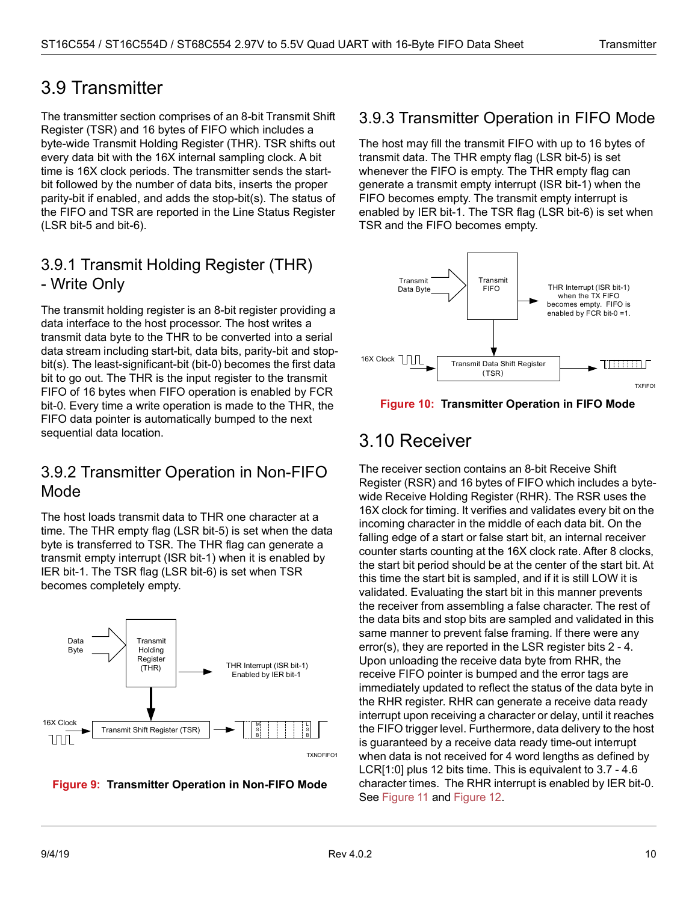## <span id="page-15-0"></span>3.9 Transmitter

The transmitter section comprises of an 8-bit Transmit Shift Register (TSR) and 16 bytes of FIFO which includes a byte-wide Transmit Holding Register (THR). TSR shifts out every data bit with the 16X internal sampling clock. A bit time is 16X clock periods. The transmitter sends the startbit followed by the number of data bits, inserts the proper parity-bit if enabled, and adds the stop-bit(s). The status of the FIFO and TSR are reported in the Line Status Register (LSR bit-5 and bit-6).

### <span id="page-15-1"></span>3.9.1 Transmit Holding Register (THR) - Write Only

The transmit holding register is an 8-bit register providing a data interface to the host processor. The host writes a transmit data byte to the THR to be converted into a serial data stream including start-bit, data bits, parity-bit and stopbit(s). The least-significant-bit (bit-0) becomes the first data bit to go out. The THR is the input register to the transmit FIFO of 16 bytes when FIFO operation is enabled by FCR bit-0. Every time a write operation is made to the THR, the FIFO data pointer is automatically bumped to the next sequential data location.

### <span id="page-15-2"></span>3.9.2 Transmitter Operation in Non-FIFO Mode

The host loads transmit data to THR one character at a time. The THR empty flag (LSR bit-5) is set when the data byte is transferred to TSR. The THR flag can generate a transmit empty interrupt (ISR bit-1) when it is enabled by IER bit-1. The TSR flag (LSR bit-6) is set when TSR becomes completely empty.



<span id="page-15-5"></span>

### <span id="page-15-3"></span>3.9.3 Transmitter Operation in FIFO Mode

The host may fill the transmit FIFO with up to 16 bytes of transmit data. The THR empty flag (LSR bit-5) is set whenever the FIFO is empty. The THR empty flag can generate a transmit empty interrupt (ISR bit-1) when the FIFO becomes empty. The transmit empty interrupt is enabled by IER bit-1. The TSR flag (LSR bit-6) is set when TSR and the FIFO becomes empty.



<span id="page-15-6"></span>

## <span id="page-15-4"></span>3.10 Receiver

The receiver section contains an 8-bit Receive Shift Register (RSR) and 16 bytes of FIFO which includes a bytewide Receive Holding Register (RHR). The RSR uses the 16X clock for timing. It verifies and validates every bit on the incoming character in the middle of each data bit. On the falling edge of a start or false start bit, an internal receiver counter starts counting at the 16X clock rate. After 8 clocks, the start bit period should be at the center of the start bit. At this time the start bit is sampled, and if it is still LOW it is validated. Evaluating the start bit in this manner prevents the receiver from assembling a false character. The rest of the data bits and stop bits are sampled and validated in this same manner to prevent false framing. If there were any error(s), they are reported in the LSR register bits 2 - 4. Upon unloading the receive data byte from RHR, the receive FIFO pointer is bumped and the error tags are immediately updated to reflect the status of the data byte in the RHR register. RHR can generate a receive data ready interrupt upon receiving a character or delay, until it reaches the FIFO trigger level. Furthermore, data delivery to the host is guaranteed by a receive data ready time-out interrupt when data is not received for 4 word lengths as defined by LCR[1:0] plus 12 bits time. This is equivalent to 3.7 - 4.6 character times. The RHR interrupt is enabled by IER bit-0. See [Figure 11](#page-16-1) and [Figure 12](#page-16-2).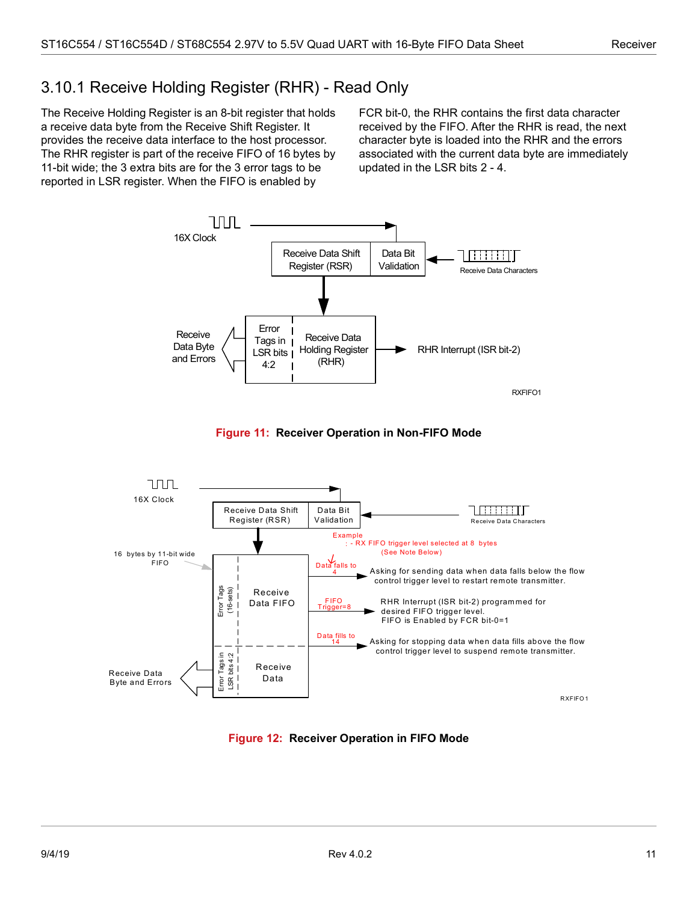### <span id="page-16-0"></span>3.10.1 Receive Holding Register (RHR) - Read Only

The Receive Holding Register is an 8-bit register that holds a receive data byte from the Receive Shift Register. It provides the receive data interface to the host processor. The RHR register is part of the receive FIFO of 16 bytes by 11-bit wide; the 3 extra bits are for the 3 error tags to be reported in LSR register. When the FIFO is enabled by

FCR bit-0, the RHR contains the first data character received by the FIFO. After the RHR is read, the next character byte is loaded into the RHR and the errors associated with the current data byte are immediately updated in the LSR bits 2 - 4.





<span id="page-16-1"></span>

<span id="page-16-2"></span>**Figure 12: Receiver Operation in FIFO Mode**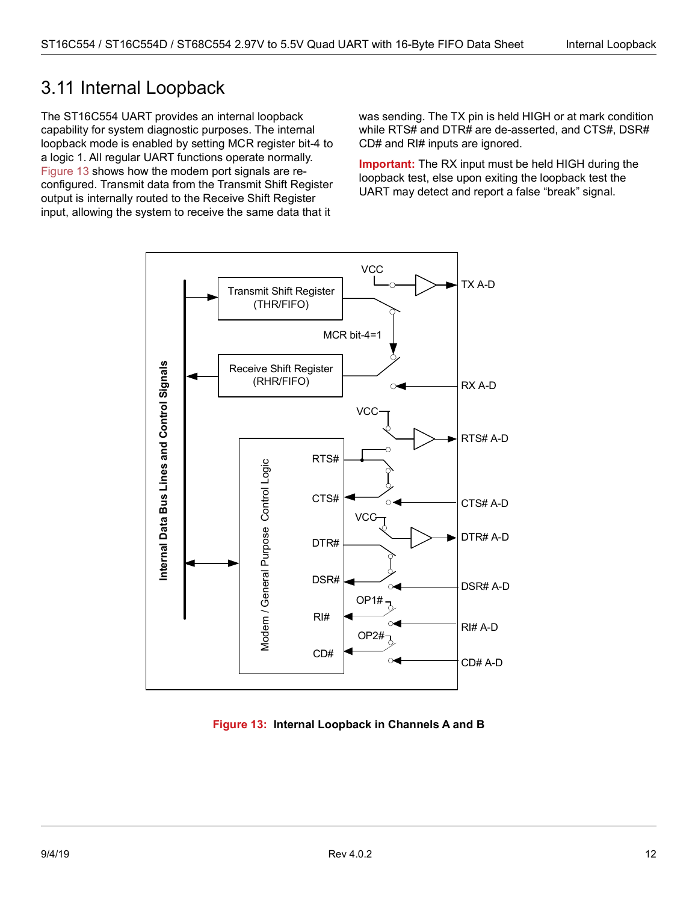## <span id="page-17-0"></span>3.11 Internal Loopback

The ST16C554 UART provides an internal loopback capability for system diagnostic purposes. The internal loopback mode is enabled by setting MCR register bit-4 to a logic 1. All regular UART functions operate normally. [Figure 13](#page-17-1) shows how the modem port signals are reconfigured. Transmit data from the Transmit Shift Register output is internally routed to the Receive Shift Register input, allowing the system to receive the same data that it

was sending. The TX pin is held HIGH or at mark condition while RTS# and DTR# are de-asserted, and CTS#, DSR# CD# and RI# inputs are ignored.

**Important:** The RX input must be held HIGH during the loopback test, else upon exiting the loopback test the UART may detect and report a false "break" signal.



<span id="page-17-1"></span>**Figure 13: Internal Loopback in Channels A and B**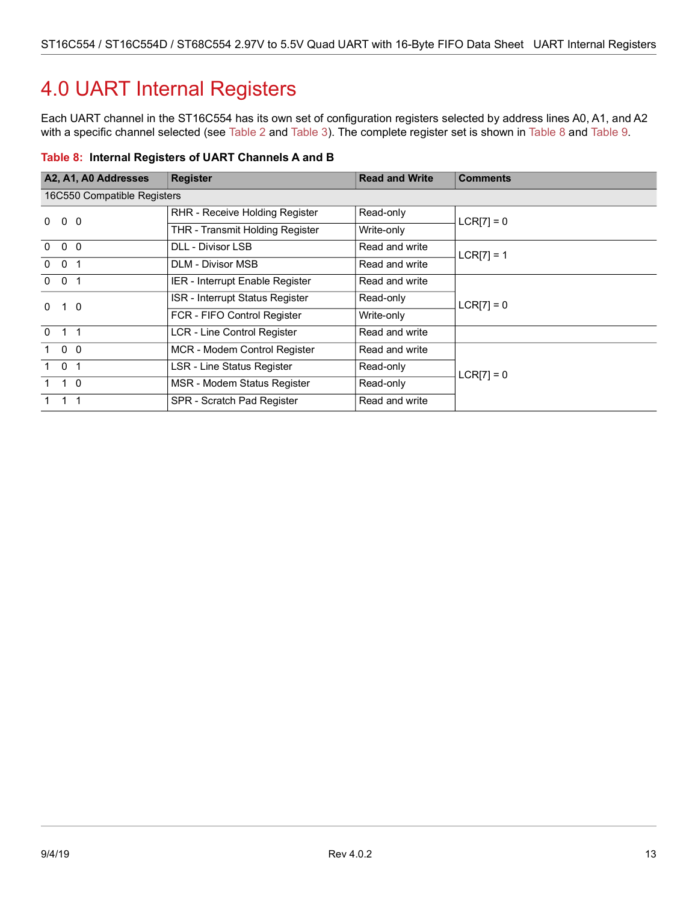# <span id="page-18-0"></span>4.0 UART Internal Registers

Each UART channel in the ST16C554 has its own set of configuration registers selected by address lines A0, A1, and A2 with a specific channel selected (see [Table 2](#page-12-4) and [Table 3\)](#page-12-5). The complete register set is shown in [Table 8](#page-18-1) and [Table 9.](#page-19-0)

<span id="page-18-1"></span>

|  |  |  | Table 8: Internal Registers of UART Channels A and B |
|--|--|--|------------------------------------------------------|
|--|--|--|------------------------------------------------------|

| A2, A1, A0 Addresses   | <b>Register</b>                                      | <b>Read and Write</b> | <b>Comments</b> |  |  |  |  |  |
|------------------------|------------------------------------------------------|-----------------------|-----------------|--|--|--|--|--|
|                        | 16C550 Compatible Registers                          |                       |                 |  |  |  |  |  |
| $0\quad 0$<br>$\Omega$ | RHR - Receive Holding Register                       | Read-only             | $LCR[7] = 0$    |  |  |  |  |  |
|                        | <b>THR - Transmit Holding Register</b><br>Write-only |                       |                 |  |  |  |  |  |
| $0\quad 0\quad 0$      | <b>DLL - Divisor LSB</b>                             | Read and write        | $LCR[7] = 1$    |  |  |  |  |  |
| $0 \quad 0 \quad 1$    | <b>DLM - Divisor MSB</b>                             | Read and write        |                 |  |  |  |  |  |
| $0 \quad 0 \quad 1$    | IER - Interrupt Enable Register                      | Read and write        |                 |  |  |  |  |  |
| $1\quad 0$<br>$\Omega$ | ISR - Interrupt Status Register                      | Read-only             | $LCR[7] = 0$    |  |  |  |  |  |
|                        | FCR - FIFO Control Register                          | Write-only            |                 |  |  |  |  |  |
| $0 \t1 \t1$            | LCR - Line Control Register                          | Read and write        |                 |  |  |  |  |  |
| $1\quad 0\quad 0$      | MCR - Modem Control Register                         | Read and write        |                 |  |  |  |  |  |
| $1 \quad 0 \quad 1$    | LSR - Line Status Register                           | Read-only             | $LCR[7] = 0$    |  |  |  |  |  |
| $1 \quad 1 \quad 0$    | MSR - Modem Status Register                          | Read-only             |                 |  |  |  |  |  |
| $1 \quad 1 \quad 1$    | SPR - Scratch Pad Register                           | Read and write        |                 |  |  |  |  |  |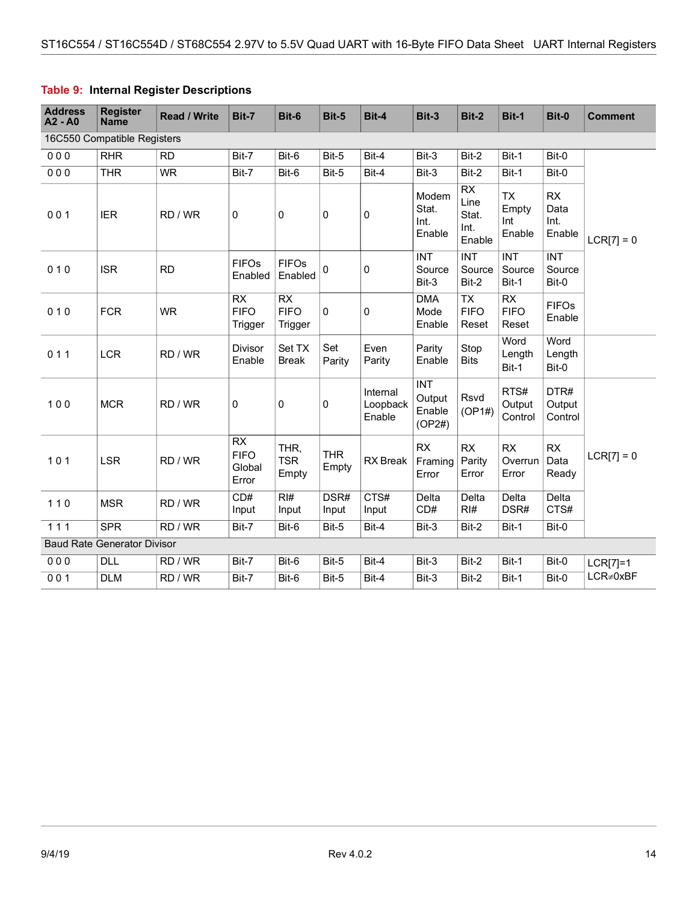| <b>Address</b><br>$A2 - A0$ | <b>Register</b><br><b>Name</b>     | <b>Read / Write</b> | Bit-7                                       | Bit-6                        | <b>Bit-5</b>        | Bit-4                          | Bit-3                                    | <b>Bit-2</b>                                 | Bit-1                               | Bit-0                         | <b>Comment</b>  |
|-----------------------------|------------------------------------|---------------------|---------------------------------------------|------------------------------|---------------------|--------------------------------|------------------------------------------|----------------------------------------------|-------------------------------------|-------------------------------|-----------------|
|                             | 16C550 Compatible Registers        |                     |                                             |                              |                     |                                |                                          |                                              |                                     |                               |                 |
| 000                         | <b>RHR</b>                         | <b>RD</b>           | Bit-7                                       | Bit-6                        | Bit-5               | Bit-4                          | Bit-3                                    | Bit-2                                        | Bit-1                               | Bit-0                         |                 |
| 000                         | <b>THR</b>                         | <b>WR</b>           | Bit-7                                       | Bit-6                        | Bit-5               | Bit-4                          | Bit-3                                    | Bit-2                                        | Bit-1                               | Bit-0                         |                 |
| 001                         | <b>IER</b>                         | RD / WR             | $\mathbf 0$                                 | 0                            | 0                   | 0                              | Modem<br>Stat.<br>Int.<br>Enable         | <b>RX</b><br>Line<br>Stat.<br>Int.<br>Enable | <b>TX</b><br>Empty<br>Int<br>Enable | RX<br>Data<br>Int.<br>Enable  | $LCR[7] = 0$    |
| 010                         | <b>ISR</b>                         | <b>RD</b>           | <b>FIFOs</b><br>Enabled                     | <b>FIFOs</b><br>Enabled      | 0                   | 0                              | <b>INT</b><br>Source<br>Bit-3            | <b>INT</b><br>Source<br>Bit-2                | <b>INT</b><br>Source<br>Bit-1       | <b>INT</b><br>Source<br>Bit-0 |                 |
| 010                         | <b>FCR</b>                         | <b>WR</b>           | <b>RX</b><br><b>FIFO</b><br>Trigger         | RX<br><b>FIFO</b><br>Trigger | $\mathbf 0$         | $\mathbf 0$                    | <b>DMA</b><br>Mode<br>Enable             | <b>TX</b><br><b>FIFO</b><br>Reset            | <b>RX</b><br><b>FIFO</b><br>Reset   | <b>FIFOs</b><br>Enable        |                 |
| 011                         | <b>LCR</b>                         | RD / WR             | <b>Divisor</b><br>Enable                    | Set TX<br><b>Break</b>       | Set<br>Parity       | Even<br>Parity                 | Parity<br>Enable                         | Stop<br><b>Bits</b>                          | Word<br>Length<br>Bit-1             | Word<br>Length<br>Bit-0       |                 |
| 100                         | <b>MCR</b>                         | RD / WR             | $\mathbf 0$                                 | 0                            | 0                   | Internal<br>Loopback<br>Enable | <b>INT</b><br>Output<br>Enable<br>(OP2#) | <b>Rsvd</b><br>(OP1#)                        | RTS#<br>Output<br>Control           | DTR#<br>Output<br>Control     |                 |
| $101$                       | <b>LSR</b>                         | RD / WR             | <b>RX</b><br><b>FIFO</b><br>Global<br>Error | THR,<br><b>TSR</b><br>Empty  | <b>THR</b><br>Empty | RX Break                       | RX<br>Framing<br>Error                   | <b>RX</b><br>Parity<br>Error                 | <b>RX</b><br>Overrun<br>Error       | <b>RX</b><br>Data<br>Ready    | $LCR[7] = 0$    |
| $110$                       | <b>MSR</b>                         | RD / WR             | CD#<br>Input                                | RH<br>Input                  | DSR#<br>Input       | CTS#<br>Input                  | Delta<br>CD#                             | Delta<br>RI#                                 | Delta<br>DSR#                       | Delta<br>CTS#                 |                 |
| 111                         | <b>SPR</b>                         | RD / WR             | Bit-7                                       | Bit-6                        | Bit-5               | Bit-4                          | Bit-3                                    | Bit-2                                        | Bit-1                               | Bit-0                         |                 |
|                             | <b>Baud Rate Generator Divisor</b> |                     |                                             |                              |                     |                                |                                          |                                              |                                     |                               |                 |
| 000                         | <b>DLL</b>                         | RD / WR             | Bit-7                                       | Bit-6                        | Bit-5               | Bit-4                          | Bit-3                                    | Bit-2                                        | Bit-1                               | Bit-0                         | $LCR[7]=1$      |
| 001                         | <b>DLM</b>                         | RD / WR             | Bit-7                                       | Bit-6                        | Bit-5               | Bit-4                          | Bit-3                                    | Bit-2                                        | Bit-1                               | Bit-0                         | $LCR \neq 0xBF$ |

#### <span id="page-19-0"></span>**Table 9: Internal Register Descriptions**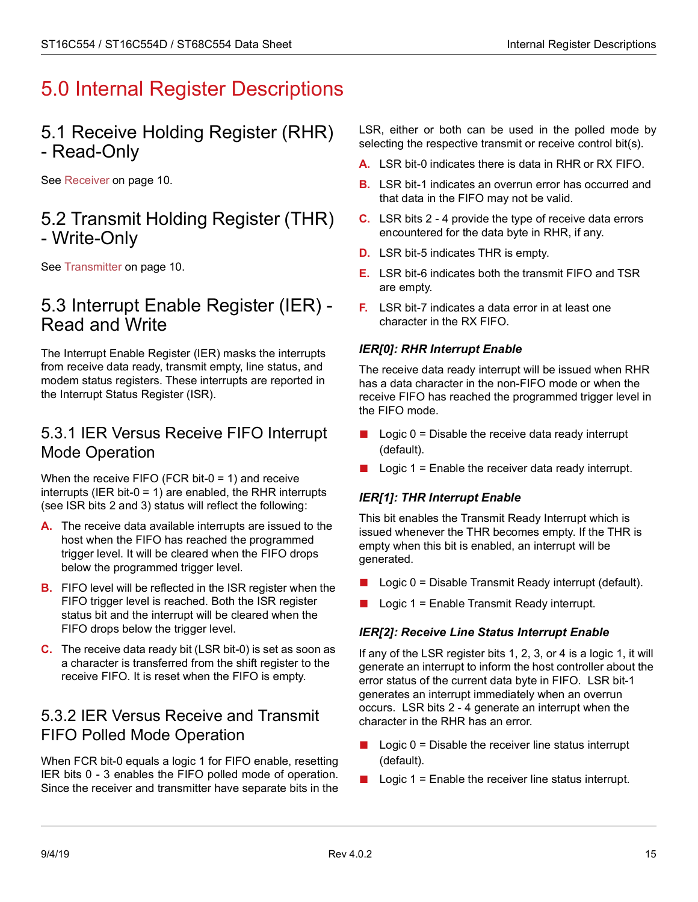# <span id="page-20-0"></span>5.0 Internal Register Descriptions

## <span id="page-20-1"></span>5.1 Receive Holding Register (RHR) - Read-Only

See [Receiver on page](#page-15-4) 10.

## <span id="page-20-2"></span>5.2 Transmit Holding Register (THR) - Write-Only

See [Transmitter on page](#page-15-0) 10.

## <span id="page-20-3"></span>5.3 Interrupt Enable Register (IER) - Read and Write

The Interrupt Enable Register (IER) masks the interrupts from receive data ready, transmit empty, line status, and modem status registers. These interrupts are reported in the Interrupt Status Register (ISR).

### <span id="page-20-4"></span>5.3.1 IER Versus Receive FIFO Interrupt Mode Operation

When the receive FIFO (FCR bit- $0 = 1$ ) and receive interrupts (IER bit-0 = 1) are enabled, the RHR interrupts (see ISR bits 2 and 3) status will reflect the following:

- **A.** The receive data available interrupts are issued to the host when the FIFO has reached the programmed trigger level. It will be cleared when the FIFO drops below the programmed trigger level.
- **B.** FIFO level will be reflected in the ISR register when the FIFO trigger level is reached. Both the ISR register status bit and the interrupt will be cleared when the FIFO drops below the trigger level.
- **C.** The receive data ready bit (LSR bit-0) is set as soon as a character is transferred from the shift register to the receive FIFO. It is reset when the FIFO is empty.

### <span id="page-20-5"></span>5.3.2 IER Versus Receive and Transmit FIFO Polled Mode Operation

When FCR bit-0 equals a logic 1 for FIFO enable, resetting IER bits 0 - 3 enables the FIFO polled mode of operation. Since the receiver and transmitter have separate bits in the LSR, either or both can be used in the polled mode by selecting the respective transmit or receive control bit(s).

- **A.** LSR bit-0 indicates there is data in RHR or RX FIFO.
- **B.** LSR bit-1 indicates an overrun error has occurred and that data in the FIFO may not be valid.
- **C.** LSR bits 2 4 provide the type of receive data errors encountered for the data byte in RHR, if any.
- **D.** LSR bit-5 indicates THR is empty.
- **E.** LSR bit-6 indicates both the transmit FIFO and TSR are empty.
- **F.** LSR bit-7 indicates a data error in at least one character in the RX FIFO.

### *IER[0]: RHR Interrupt Enable*

The receive data ready interrupt will be issued when RHR has a data character in the non-FIFO mode or when the receive FIFO has reached the programmed trigger level in the FIFO mode.

- $\Box$  Logic 0 = Disable the receive data ready interrupt (default).
- $\Box$  Logic 1 = Enable the receiver data ready interrupt.

### *IER[1]: THR Interrupt Enable*

This bit enables the Transmit Ready Interrupt which is issued whenever the THR becomes empty. If the THR is empty when this bit is enabled, an interrupt will be generated.

- Logic  $0 =$  Disable Transmit Ready interrupt (default).
- Logic  $1 =$  Enable Transmit Ready interrupt.

### *IER[2]: Receive Line Status Interrupt Enable*

If any of the LSR register bits 1, 2, 3, or 4 is a logic 1, it will generate an interrupt to inform the host controller about the error status of the current data byte in FIFO. LSR bit-1 generates an interrupt immediately when an overrun occurs. LSR bits 2 - 4 generate an interrupt when the character in the RHR has an error.

- $\Box$  Logic 0 = Disable the receiver line status interrupt (default).
- $\Box$  Logic 1 = Enable the receiver line status interrupt.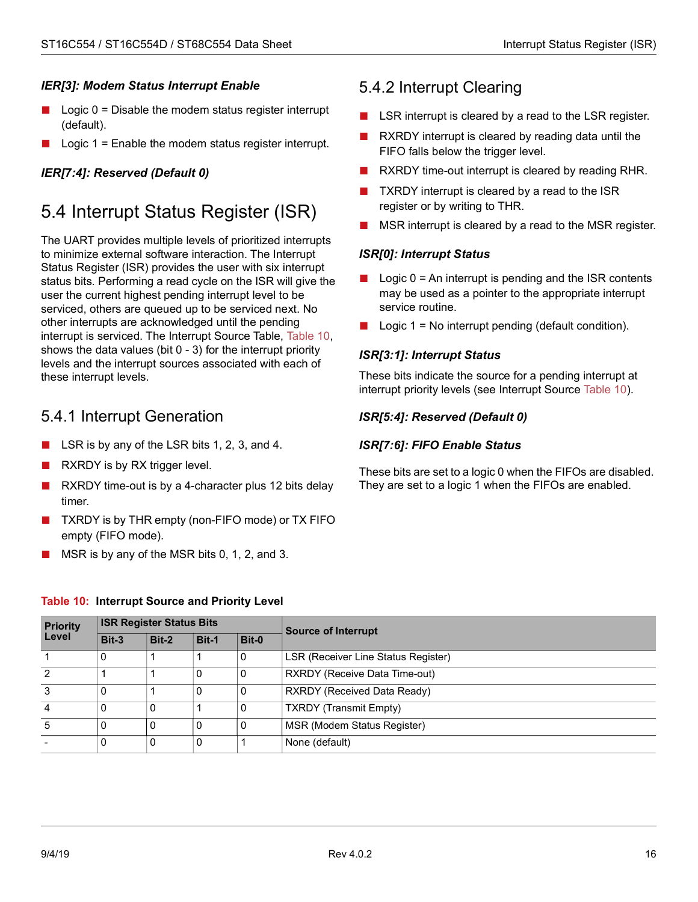### *IER[3]: Modem Status Interrupt Enable*

- Logic  $0 =$  Disable the modem status register interrupt (default).
- Logic  $1 =$  Enable the modem status register interrupt.

### *IER[7:4]: Reserved (Default 0)*

# <span id="page-21-0"></span>5.4 Interrupt Status Register (ISR)

The UART provides multiple levels of prioritized interrupts to minimize external software interaction. The Interrupt Status Register (ISR) provides the user with six interrupt status bits. Performing a read cycle on the ISR will give the user the current highest pending interrupt level to be serviced, others are queued up to be serviced next. No other interrupts are acknowledged until the pending interrupt is serviced. The Interrupt Source Table, [Table 10](#page-21-3), shows the data values (bit 0 - 3) for the interrupt priority levels and the interrupt sources associated with each of these interrupt levels.

### <span id="page-21-1"></span>5.4.1 Interrupt Generation

- LSR is by any of the LSR bits 1, 2, 3, and 4.
- RXRDY is by RX trigger level.
- RXRDY time-out is by a 4-character plus 12 bits delay timer.
- TXRDY is by THR empty (non-FIFO mode) or TX FIFO empty (FIFO mode).
- MSR is by any of the MSR bits  $0, 1, 2$ , and  $3$ .

### <span id="page-21-2"></span>5.4.2 Interrupt Clearing

- LSR interrupt is cleared by a read to the LSR register.
- RXRDY interrupt is cleared by reading data until the FIFO falls below the trigger level.
- RXRDY time-out interrupt is cleared by reading RHR.
- TXRDY interrupt is cleared by a read to the ISR register or by writing to THR.
- MSR interrupt is cleared by a read to the MSR register.

#### *ISR[0]: Interrupt Status*

- $\Box$  Logic 0 = An interrupt is pending and the ISR contents may be used as a pointer to the appropriate interrupt service routine.
- $\Box$  Logic 1 = No interrupt pending (default condition).

#### *ISR[3:1]: Interrupt Status*

These bits indicate the source for a pending interrupt at interrupt priority levels (see Interrupt Source [Table 10\)](#page-21-3).

#### *ISR[5:4]: Reserved (Default 0)*

#### *ISR[7:6]: FIFO Enable Status*

These bits are set to a logic 0 when the FIFOs are disabled. They are set to a logic 1 when the FIFOs are enabled.

#### <span id="page-21-3"></span>**Table 10: Interrupt Source and Priority Level**

| <b>Priority</b> | <b>ISR Register Status Bits</b> |       |       |       | <b>Source of Interrupt</b>           |
|-----------------|---------------------------------|-------|-------|-------|--------------------------------------|
| Level           | Bit-3                           | Bit-2 | Bit-1 | Bit-0 |                                      |
|                 | 0                               |       |       | 0     | LSR (Receiver Line Status Register)  |
| 2               |                                 |       |       | 0     | <b>RXRDY</b> (Receive Data Time-out) |
| 3               |                                 |       |       | 0     | <b>RXRDY (Received Data Ready)</b>   |
|                 |                                 | 0     |       | 0     | <b>TXRDY (Transmit Empty)</b>        |
|                 |                                 | 0     |       | 0     | MSR (Modem Status Register)          |
|                 |                                 | 0     |       |       | None (default)                       |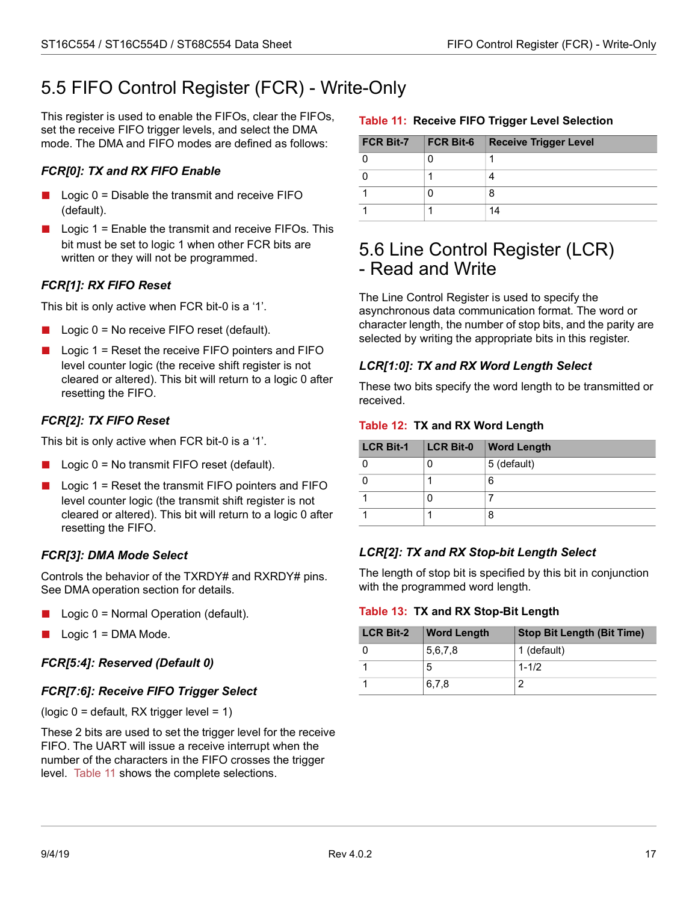## <span id="page-22-0"></span>5.5 FIFO Control Register (FCR) - Write-Only

This register is used to enable the FIFOs, clear the FIFOs, set the receive FIFO trigger levels, and select the DMA mode. The DMA and FIFO modes are defined as follows:

#### *FCR[0]: TX and RX FIFO Enable*

- $\blacksquare$  Logic 0 = Disable the transmit and receive FIFO (default).
- $\blacksquare$  Logic 1 = Enable the transmit and receive FIFOs. This bit must be set to logic 1 when other FCR bits are written or they will not be programmed.

#### *FCR[1]: RX FIFO Reset*

This bit is only active when FCR bit-0 is a '1'.

- Logic  $0 = No$  receive FIFO reset (default).
- Logic  $1 =$  Reset the receive FIFO pointers and FIFO level counter logic (the receive shift register is not cleared or altered). This bit will return to a logic 0 after resetting the FIFO.

#### *FCR[2]: TX FIFO Reset*

This bit is only active when FCR bit-0 is a '1'.

- Logic  $0 = No$  transmit FIFO reset (default).
- Logic  $1 =$  Reset the transmit FIFO pointers and FIFO level counter logic (the transmit shift register is not cleared or altered). This bit will return to a logic 0 after resetting the FIFO.

#### *FCR[3]: DMA Mode Select*

Controls the behavior of the TXRDY# and RXRDY# pins. See DMA operation section for details.

- Logic  $0$  = Normal Operation (default).
- Logic  $1 =$  DMA Mode.

#### *FCR[5:4]: Reserved (Default 0)*

#### *FCR[7:6]: Receive FIFO Trigger Select*

(logic  $0 =$  default, RX trigger level = 1)

These 2 bits are used to set the trigger level for the receive FIFO. The UART will issue a receive interrupt when the number of the characters in the FIFO crosses the trigger level. [Table 11](#page-22-2) shows the complete selections.

#### <span id="page-22-2"></span>p **Table 11: Receive FIFO Trigger Level Selection**

| <b>FCR Bit-7</b> | <b>FCR Bit-6</b> | <b>Receive Trigger Level</b> |
|------------------|------------------|------------------------------|
|                  |                  |                              |
|                  |                  |                              |
|                  |                  |                              |
|                  |                  | 14                           |

### <span id="page-22-1"></span>5.6 Line Control Register (LCR) - Read and Write

The Line Control Register is used to specify the asynchronous data communication format. The word or character length, the number of stop bits, and the parity are selected by writing the appropriate bits in this register.

#### *LCR[1:0]: TX and RX Word Length Select*

These two bits specify the word length to be transmitted or received.

#### <span id="page-22-3"></span>**Table 12: TX and RX Word Length**

| <b>LCR Bit-1</b> | <b>LCR Bit-0</b> | <b>Word Length</b> |
|------------------|------------------|--------------------|
|                  |                  | 5 (default)        |
|                  |                  | 6                  |
|                  |                  |                    |
|                  |                  | 8                  |

#### *LCR[2]: TX and RX Stop-bit Length Select*

The length of stop bit is specified by this bit in conjunction with the programmed word length.

#### <span id="page-22-4"></span>**Table 13: TX and RX Stop-Bit Length**

| <b>LCR Bit-2</b> | <b>Word Length</b> | <b>Stop Bit Length (Bit Time)</b> |
|------------------|--------------------|-----------------------------------|
|                  | 5,6,7,8            | 1 (default)                       |
|                  | 5                  | $1 - 1/2$                         |
|                  | 6,7,8              |                                   |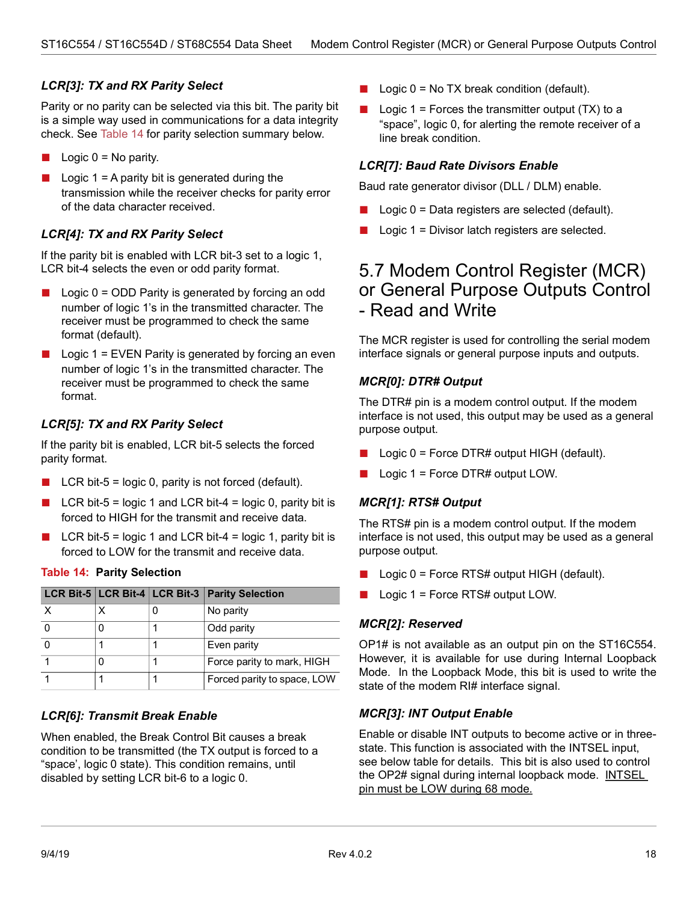#### *LCR[3]: TX and RX Parity Select*

Parity or no parity can be selected via this bit. The parity bit is a simple way used in communications for a data integrity check. See [Table 14](#page-23-0) for parity selection summary below.

- Logic  $0 = No$  parity.
- $\blacksquare$  Logic 1 = A parity bit is generated during the transmission while the receiver checks for parity error of the data character received.

#### *LCR[4]: TX and RX Parity Select*

If the parity bit is enabled with LCR bit-3 set to a logic 1, LCR bit-4 selects the even or odd parity format.

- Logic 0 = ODD Parity is generated by forcing an odd number of logic 1's in the transmitted character. The receiver must be programmed to check the same format (default).
- $\blacksquare$  Logic 1 = EVEN Parity is generated by forcing an even number of logic 1's in the transmitted character. The receiver must be programmed to check the same format.

#### *LCR[5]: TX and RX Parity Select*

If the parity bit is enabled, LCR bit-5 selects the forced parity format.

- $\blacksquare$  LCR bit-5 = logic 0, parity is not forced (default).
- LCR bit-5 = logic 1 and LCR bit-4 = logic 0, parity bit is forced to HIGH for the transmit and receive data.
- LCR bit-5 = logic 1 and LCR bit-4 = logic 1, parity bit is forced to LOW for the transmit and receive data.

#### <span id="page-23-0"></span>**Table 14: Parity Selection**

|  | LCR Bit-5   LCR Bit-4   LCR Bit-3   Parity Selection |
|--|------------------------------------------------------|
|  | No parity                                            |
|  | Odd parity                                           |
|  | Even parity                                          |
|  | Force parity to mark, HIGH                           |
|  | Forced parity to space, LOW                          |

#### *LCR[6]: Transmit Break Enable*

When enabled, the Break Control Bit causes a break condition to be transmitted (the TX output is forced to a "space', logic 0 state). This condition remains, until disabled by setting LCR bit-6 to a logic 0.

- $\Box$  Logic 0 = No TX break condition (default).
- $\blacksquare$  Logic 1 = Forces the transmitter output (TX) to a "space", logic 0, for alerting the remote receiver of a line break condition.

#### *LCR[7]: Baud Rate Divisors Enable*

Baud rate generator divisor (DLL / DLM) enable.

- Logic  $0 =$  Data registers are selected (default).
- Logic  $1 =$  Divisor latch registers are selected.

### 5.7 Modem Control Register (MCR) or General Purpose Outputs Control - Read and Write

The MCR register is used for controlling the serial modem interface signals or general purpose inputs and outputs.

#### *MCR[0]: DTR# Output*

The DTR# pin is a modem control output. If the modem interface is not used, this output may be used as a general purpose output.

- Logic  $0 =$  Force DTR# output HIGH (default).
- Logic  $1 =$  Force DTR# output LOW.

#### *MCR[1]: RTS# Output*

The RTS# pin is a modem control output. If the modem interface is not used, this output may be used as a general purpose output.

- Logic  $0 =$  Force RTS# output HIGH (default).
- Logic  $1 =$  Force RTS# output LOW.

#### *MCR[2]: Reserved*

OP1# is not available as an output pin on the ST16C554. However, it is available for use during Internal Loopback Mode. In the Loopback Mode, this bit is used to write the state of the modem RI# interface signal.

#### <span id="page-23-1"></span>*MCR[3]: INT Output Enable*

Enable or disable INT outputs to become active or in threestate. This function is associated with the INTSEL input, see below table for details. This bit is also used to control the OP2# signal during internal loopback mode. INTSEL pin must be LOW during 68 mode.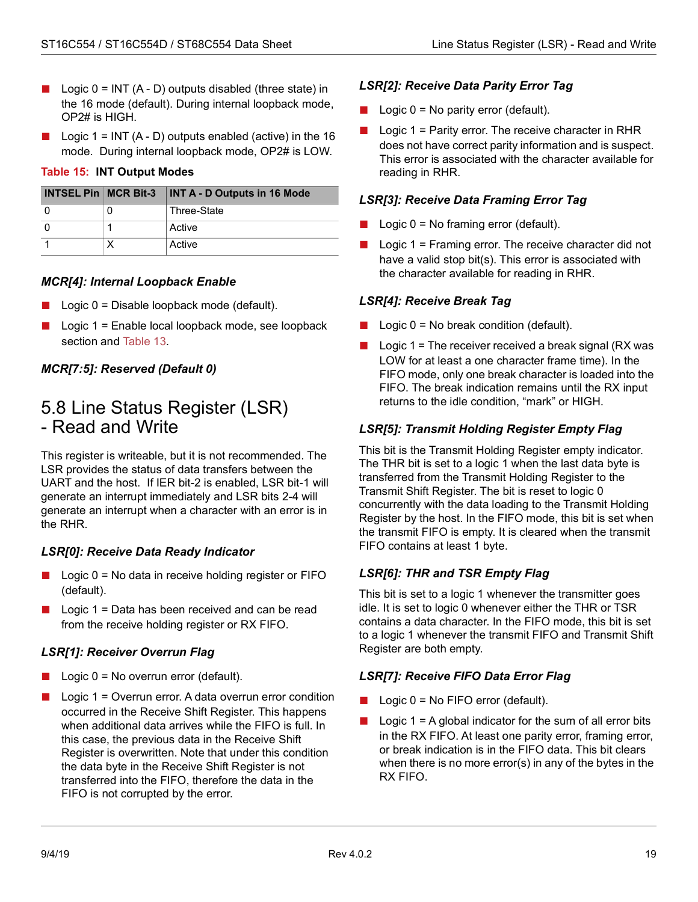- Logic  $0 = INT (A D)$  outputs disabled (three state) in the 16 mode (default). During internal loopback mode, OP2# is HIGH.
- Logic  $1 = INT (A D)$  outputs enabled (active) in the 16 mode. During internal loopback mode, OP2# is LOW.

#### <span id="page-24-1"></span>**Table 15: INT Output Modes**

| <b>INTSEL Pin   MCR Bit-3</b> | <b>INT A - D Outputs in 16 Mode</b> |
|-------------------------------|-------------------------------------|
|                               | Three-State                         |
|                               | Active                              |
|                               | Active                              |

#### *MCR[4]: Internal Loopback Enable*

- $\Box$  Logic 0 = Disable loopback mode (default).
- Logic  $1 =$  Enable local loopback mode, see loopback section and [Table 13.](#page-17-1)

#### *MCR[7:5]: Reserved (Default 0)*

### <span id="page-24-0"></span>5.8 Line Status Register (LSR) - Read and Write

This register is writeable, but it is not recommended. The LSR provides the status of data transfers between the UART and the host. If IER bit-2 is enabled, LSR bit-1 will generate an interrupt immediately and LSR bits 2-4 will generate an interrupt when a character with an error is in the RHR.

#### *LSR[0]: Receive Data Ready Indicator*

- Logic 0 = No data in receive holding register or FIFO (default).
- $\blacksquare$  Logic 1 = Data has been received and can be read from the receive holding register or RX FIFO.

#### *LSR[1]: Receiver Overrun Flag*

- $\Box$  Logic  $0 = No$  overrun error (default).
- Logic 1 = Overrun error. A data overrun error condition occurred in the Receive Shift Register. This happens when additional data arrives while the FIFO is full. In this case, the previous data in the Receive Shift Register is overwritten. Note that under this condition the data byte in the Receive Shift Register is not transferred into the FIFO, therefore the data in the FIFO is not corrupted by the error.

#### *LSR[2]: Receive Data Parity Error Tag*

- $\Box$  Logic 0 = No parity error (default).
- Logic 1 = Parity error. The receive character in RHR does not have correct parity information and is suspect. This error is associated with the character available for reading in RHR.

#### *LSR[3]: Receive Data Framing Error Tag*

- $\Box$  Logic  $0 = No$  framing error (default).
- $\blacksquare$  Logic 1 = Framing error. The receive character did not have a valid stop bit(s). This error is associated with the character available for reading in RHR.

#### *LSR[4]: Receive Break Tag*

- $\Box$  Logic  $0 = No$  break condition (default).
- $\blacksquare$  Logic 1 = The receiver received a break signal (RX was LOW for at least a one character frame time). In the FIFO mode, only one break character is loaded into the FIFO. The break indication remains until the RX input returns to the idle condition, "mark" or HIGH.

#### *LSR[5]: Transmit Holding Register Empty Flag*

This bit is the Transmit Holding Register empty indicator. The THR bit is set to a logic 1 when the last data byte is transferred from the Transmit Holding Register to the Transmit Shift Register. The bit is reset to logic 0 concurrently with the data loading to the Transmit Holding Register by the host. In the FIFO mode, this bit is set when the transmit FIFO is empty. It is cleared when the transmit FIFO contains at least 1 byte.

#### *LSR[6]: THR and TSR Empty Flag*

This bit is set to a logic 1 whenever the transmitter goes idle. It is set to logic 0 whenever either the THR or TSR contains a data character. In the FIFO mode, this bit is set to a logic 1 whenever the transmit FIFO and Transmit Shift Register are both empty.

#### *LSR[7]: Receive FIFO Data Error Flag*

- $\Box$  Logic 0 = No FIFO error (default).
- $\Box$  Logic 1 = A global indicator for the sum of all error bits in the RX FIFO. At least one parity error, framing error, or break indication is in the FIFO data. This bit clears when there is no more error(s) in any of the bytes in the RX FIFO.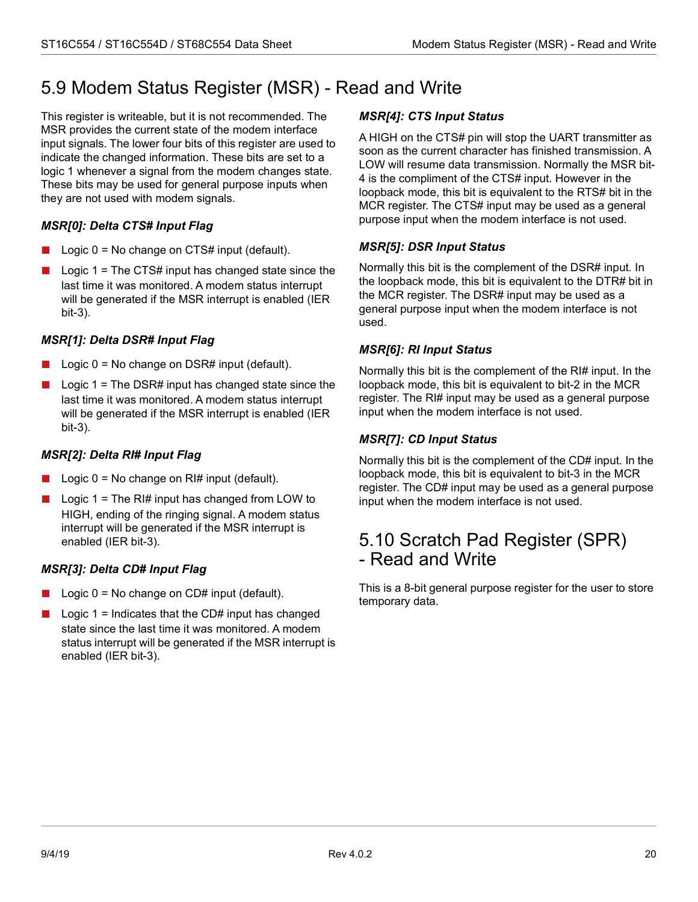# <span id="page-25-0"></span>5.9 Modem Status Register (MSR) - Read and Write

This register is writeable, but it is not recommended. The MSR provides the current state of the modem interface input signals. The lower four bits of this register are used to indicate the changed information. These bits are set to a logic 1 whenever a signal from the modem changes state. These bits may be used for general purpose inputs when they are not used with modem signals.

### *MSR[0]: Delta CTS# Input Flag*

- Logic  $0 = No$  change on CTS# input (default).
- Logic 1 = The CTS# input has changed state since the last time it was monitored. A modem status interrupt will be generated if the MSR interrupt is enabled (IER bit-3).

### *MSR[1]: Delta DSR# Input Flag*

- $\Box$  Logic 0 = No change on DSR# input (default).
- Logic 1 = The DSR# input has changed state since the last time it was monitored. A modem status interrupt will be generated if the MSR interrupt is enabled (IER bit-3).

### *MSR[2]: Delta RI# Input Flag*

- Logic  $0 = No$  change on RI# input (default).
- $\Box$  Logic 1 = The RI# input has changed from LOW to HIGH, ending of the ringing signal. A modem status interrupt will be generated if the MSR interrupt is enabled (IER bit-3).

### *MSR[3]: Delta CD# Input Flag*

- Logic  $0 = No$  change on CD# input (default).
- Logic  $1 =$  Indicates that the CD# input has changed state since the last time it was monitored. A modem status interrupt will be generated if the MSR interrupt is enabled (IER bit-3).

### *MSR[4]: CTS Input Status*

A HIGH on the CTS# pin will stop the UART transmitter as soon as the current character has finished transmission. A LOW will resume data transmission. Normally the MSR bit-4 is the compliment of the CTS# input. However in the loopback mode, this bit is equivalent to the RTS# bit in the MCR register. The CTS# input may be used as a general purpose input when the modem interface is not used.

#### *MSR[5]: DSR Input Status*

Normally this bit is the complement of the DSR# input. In the loopback mode, this bit is equivalent to the DTR# bit in the MCR register. The DSR# input may be used as a general purpose input when the modem interface is not used.

#### *MSR[6]: RI Input Status*

Normally this bit is the complement of the RI# input. In the loopback mode, this bit is equivalent to bit-2 in the MCR register. The RI# input may be used as a general purpose input when the modem interface is not used.

#### *MSR[7]: CD Input Status*

Normally this bit is the complement of the CD# input. In the loopback mode, this bit is equivalent to bit-3 in the MCR register. The CD# input may be used as a general purpose input when the modem interface is not used.

### <span id="page-25-1"></span>5.10 Scratch Pad Register (SPR) - Read and Write

This is a 8-bit general purpose register for the user to store temporary data.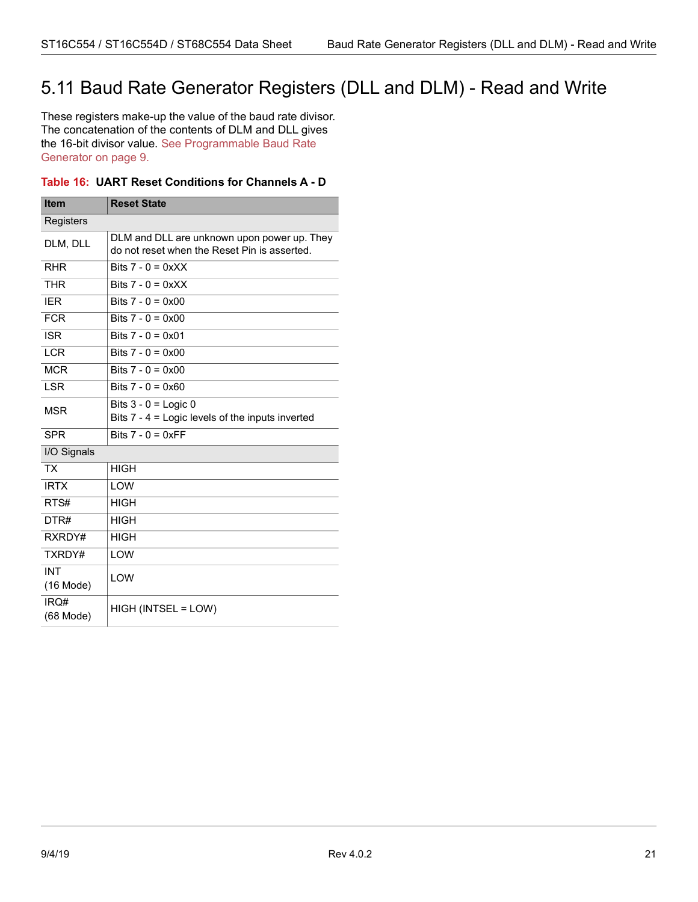## <span id="page-26-0"></span>5.11 Baud Rate Generator Registers (DLL and DLM) - Read and Write

These registers make-up the value of the baud rate divisor. The concatenation of the contents of DLM and DLL gives the 16-bit divisor value. [See Programmable Baud Rate](#page-14-0)  [Generator on page](#page-14-0) 9.

#### <span id="page-26-1"></span>**Table 16: UART Reset Conditions for Channels A - D**

| <b>Item</b>                                                                                             | <b>Reset State</b>                                                         |  |  |
|---------------------------------------------------------------------------------------------------------|----------------------------------------------------------------------------|--|--|
| Registers                                                                                               |                                                                            |  |  |
| DLM and DLL are unknown upon power up. They<br>DLM, DLL<br>do not reset when the Reset Pin is asserted. |                                                                            |  |  |
| <b>RHR</b>                                                                                              | Bits $7 - 0 = 0xXX$                                                        |  |  |
| <b>THR</b>                                                                                              | Bits $7 - 0 = 0$ x X X                                                     |  |  |
| <b>IER</b>                                                                                              | Bits $7 - 0 = 0x00$                                                        |  |  |
| <b>FCR</b>                                                                                              | Bits $7 - 0 = 0x00$                                                        |  |  |
| <b>ISR</b>                                                                                              | Bits $7 - 0 = 0 \times 01$                                                 |  |  |
| <b>LCR</b>                                                                                              | Bits $7 - 0 = 0 \times 00$                                                 |  |  |
| <b>MCR</b>                                                                                              | Bits $7 - 0 = 0 \times 00$                                                 |  |  |
| <b>LSR</b>                                                                                              | Bits $7 - 0 = 0 \times 60$                                                 |  |  |
| <b>MSR</b>                                                                                              | Bits $3 - 0 =$ Logic 0<br>Bits 7 - 4 = Logic levels of the inputs inverted |  |  |
| <b>SPR</b>                                                                                              | Bits $7 - 0 = 0xFF$                                                        |  |  |
| I/O Signals                                                                                             |                                                                            |  |  |
| <b>TX</b>                                                                                               | <b>HIGH</b>                                                                |  |  |
| <b>IRTX</b>                                                                                             | LOW                                                                        |  |  |
| RTS#                                                                                                    | <b>HIGH</b>                                                                |  |  |
| DTR#                                                                                                    | <b>HIGH</b>                                                                |  |  |
| RXRDY#                                                                                                  | <b>HIGH</b>                                                                |  |  |
| TXRDY#                                                                                                  | LOW                                                                        |  |  |
| <b>INT</b><br>$(16$ Mode)                                                                               | LOW                                                                        |  |  |
| IRQ#<br>(68 Mode)                                                                                       | HIGH (INTSEL = LOW)                                                        |  |  |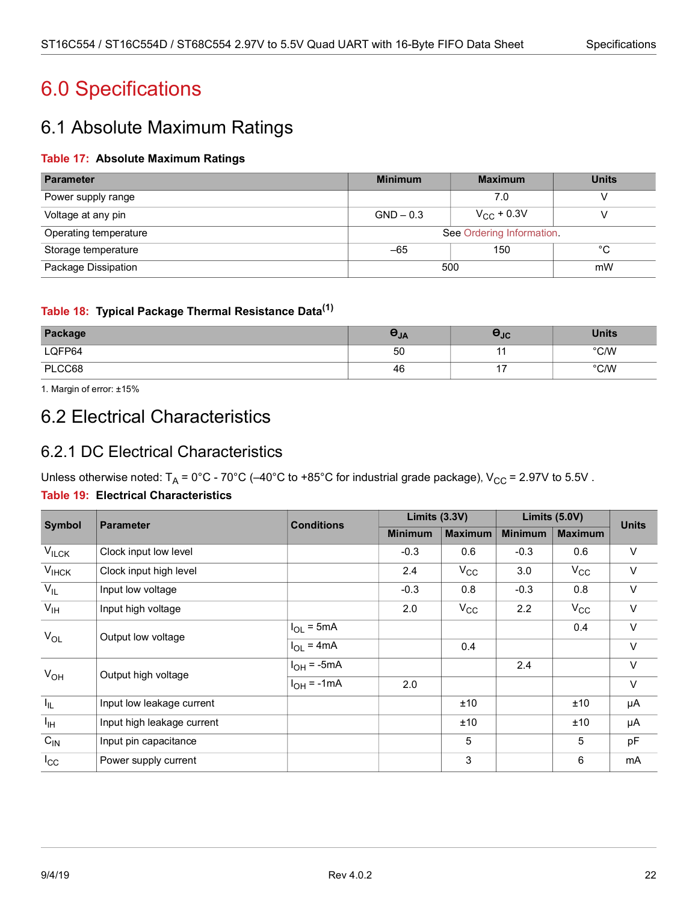# <span id="page-27-0"></span>6.0 Specifications

## <span id="page-27-1"></span>6.1 Absolute Maximum Ratings

#### <span id="page-27-4"></span>**Table 17: Absolute Maximum Ratings**

| Parameter             | <b>Minimum</b>                     | <b>Units</b> |    |  |
|-----------------------|------------------------------------|--------------|----|--|
| Power supply range    |                                    | 7.0          |    |  |
| Voltage at any pin    | $V_{\rm CC}$ + 0.3V<br>$GND - 0.3$ |              |    |  |
| Operating temperature | See Ordering Information.          |              |    |  |
| Storage temperature   | 150<br>$-65$                       |              | °C |  |
| Package Dissipation   | 500<br>mW                          |              |    |  |

#### <span id="page-27-5"></span>**Table 18: Typical Package Thermal Resistance Data(1)**

| Package | c<br>$\sigma_{JA}$ | <b>PJC</b> | <b>Units</b>   |
|---------|--------------------|------------|----------------|
| LQFP64  | 50                 |            | $^{\circ}$ C/W |
| PLCC68  | 46                 | . .        | $^{\circ}$ C/W |

1. Margin of error: ±15%

## <span id="page-27-2"></span>6.2 Electrical Characteristics

### <span id="page-27-3"></span>6.2.1 DC Electrical Characteristics

Unless otherwise noted:  $T_A = 0^{\circ}C - 70^{\circ}C - 40^{\circ}C$  to +85°C for industrial grade package),  $V_{CC} = 2.97V$  to 5.5V.

#### <span id="page-27-6"></span>**Table 19: Electrical Characteristics**

| <b>Symbol</b>   | <b>Parameter</b>           | <b>Conditions</b> | Limits $(3.3V)$ |                | Limits (5.0V)  |                | <b>Units</b> |
|-----------------|----------------------------|-------------------|-----------------|----------------|----------------|----------------|--------------|
|                 |                            |                   | <b>Minimum</b>  | <b>Maximum</b> | <b>Minimum</b> | <b>Maximum</b> |              |
| $V_{ILCK}$      | Clock input low level      |                   | $-0.3$          | 0.6            | $-0.3$         | 0.6            | $\vee$       |
| $V_{IHCK}$      | Clock input high level     |                   | 2.4             | $V_{\rm CC}$   | 3.0            | $V_{\rm CC}$   | $\vee$       |
| $V_{IL}$        | Input low voltage          |                   | $-0.3$          | 0.8            | $-0.3$         | 0.8            | $\vee$       |
| $V_{IH}$        | Input high voltage         |                   | 2.0             | $V_{\rm CC}$   | 2.2            | $V_{\rm CC}$   | $\vee$       |
| $V_{OL}$        | Output low voltage         | $I_{OL}$ = 5mA    |                 |                |                | 0.4            | $\vee$       |
|                 |                            | $I_{OL} = 4mA$    |                 | 0.4            |                |                | $\vee$       |
| $V_{OH}$        | Output high voltage        | $I_{OH}$ = -5mA   |                 |                | 2.4            |                | $\vee$       |
|                 |                            | $I_{OH}$ = -1mA   | 2.0             |                |                |                | $\vee$       |
| $I_{IL}$        | Input low leakage current  |                   |                 | ±10            |                | ±10            | μA           |
| $I_{\text{IH}}$ | Input high leakage current |                   |                 | ±10            |                | ±10            | μA           |
| $C_{IN}$        | Input pin capacitance      |                   |                 | 5              |                | 5              | pF           |
| $I_{\rm CC}$    | Power supply current       |                   |                 | 3              |                | 6              | mA           |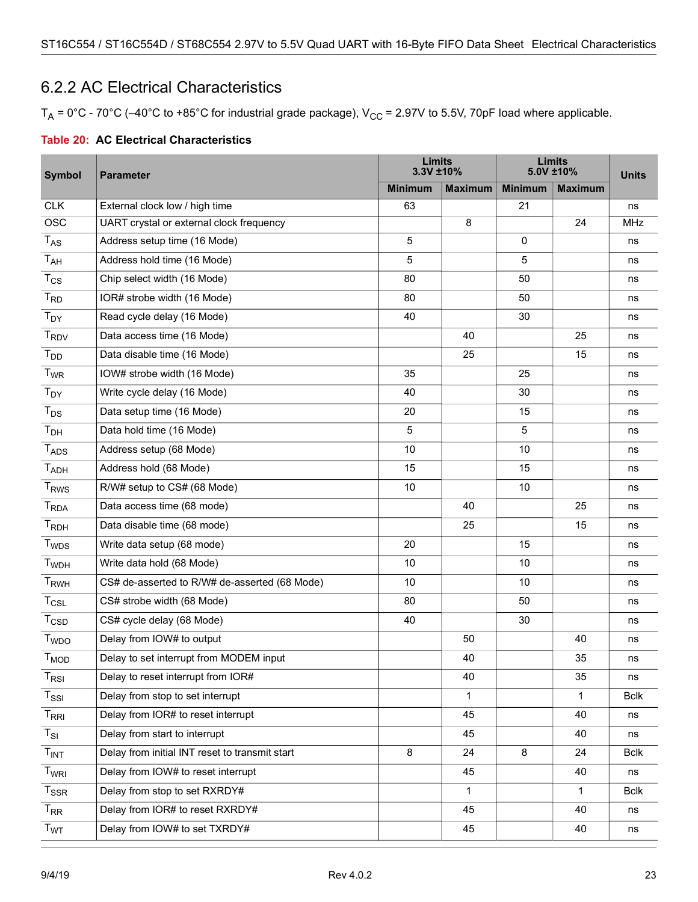### <span id="page-28-0"></span>6.2.2 AC Electrical Characteristics

 $T_A$  = 0°C - 70°C (-40°C to +85°C for industrial grade package),  $V_{CC}$  = 2.97V to 5.5V, 70pF load where applicable.

<span id="page-28-1"></span>

|  | <b>Table 20: AC Electrical Characteristics</b> |
|--|------------------------------------------------|
|--|------------------------------------------------|

| <b>Symbol</b>               | <b>Parameter</b>                               |                | Limits<br>3.3V ±10% |                | <b>Limits</b><br>5.0V ±10% |             |
|-----------------------------|------------------------------------------------|----------------|---------------------|----------------|----------------------------|-------------|
|                             |                                                | <b>Minimum</b> | <b>Maximum</b>      | <b>Minimum</b> | <b>Maximum</b>             |             |
| <b>CLK</b>                  | External clock low / high time                 | 63             |                     | 21             |                            | ns          |
| <b>OSC</b>                  | UART crystal or external clock frequency       |                | 8                   |                | 24                         | MHz         |
| $T_{AS}$                    | Address setup time (16 Mode)                   | 5              |                     | $\mathbf 0$    |                            | ns          |
| T <sub>AH</sub>             | Address hold time (16 Mode)                    | 5              |                     | 5              |                            | ns          |
| $T_{CS}$                    | Chip select width (16 Mode)                    | 80             |                     | 50             |                            | ns          |
| $T_{RD}$                    | IOR# strobe width (16 Mode)                    | 80             |                     | 50             |                            | ns          |
| $T_{DY}$                    | Read cycle delay (16 Mode)                     | 40             |                     | 30             |                            | ns          |
| <b>T<sub>RDV</sub></b>      | Data access time (16 Mode)                     |                | 40                  |                | 25                         | ns          |
| T <sub>DD</sub>             | Data disable time (16 Mode)                    |                | 25                  |                | 15                         | ns          |
| $T_{WR}$                    | IOW# strobe width (16 Mode)                    | 35             |                     | 25             |                            | ns          |
| $T_{DY}$                    | Write cycle delay (16 Mode)                    | 40             |                     | 30             |                            | ns          |
| $T_{DS}$                    | Data setup time (16 Mode)                      | 20             |                     | 15             |                            | ns          |
| T <sub>DH</sub>             | Data hold time (16 Mode)                       | 5              |                     | 5              |                            | ns          |
| <b>TADS</b>                 | Address setup (68 Mode)                        | 10             |                     | 10             |                            | ns          |
| <b>TADH</b>                 | Address hold (68 Mode)                         | 15             |                     | 15             |                            | ns          |
| <b>T<sub>RWS</sub></b>      | R/W# setup to CS# (68 Mode)                    | 10             |                     | 10             |                            | ns          |
| <b>T</b> <sub>RDA</sub>     | Data access time (68 mode)                     |                | 40                  |                | 25                         | ns          |
| $T_{RDH}$                   | Data disable time (68 mode)                    |                | 25                  |                | 15                         | ns          |
| <b>T</b> <sub>WDS</sub>     | Write data setup (68 mode)                     | 20             |                     | 15             |                            | ns          |
| <b>T</b> <sub>WDH</sub>     | Write data hold (68 Mode)                      | 10             |                     | 10             |                            | ns          |
| $T_{RWH}$                   | CS# de-asserted to R/W# de-asserted (68 Mode)  | 10             |                     | 10             |                            | ns          |
| $T_{CSL}$                   | CS# strobe width (68 Mode)                     | 80             |                     | 50             |                            | ns          |
| $T_{\text{CSD}}$            | CS# cycle delay (68 Mode)                      | 40             |                     | 30             |                            | ns          |
| <b>T</b> <sub>WDO</sub>     | Delay from IOW# to output                      |                | 50                  |                | 40                         | ns          |
| T <sub>MOD</sub>            | Delay to set interrupt from MODEM input        |                | 40                  |                | 35                         | ns          |
| $\mathsf{T}_{\mathsf{RSI}}$ | Delay to reset interrupt from IOR#             |                | 40                  |                | 35                         | ns          |
| $T_{\rm SSI}$               | Delay from stop to set interrupt               |                | $\mathbf{1}$        |                | 1                          | <b>Bclk</b> |
| $T_{RRI}$                   | Delay from IOR# to reset interrupt             |                | 45                  |                | 40                         | ns          |
| $T_{SI}$                    | Delay from start to interrupt                  |                | 45                  |                | 40                         | ns          |
| T <sub>INT</sub>            | Delay from initial INT reset to transmit start | 8              | 24                  | 8              | 24                         | <b>Bclk</b> |
| T <sub>WRI</sub>            | Delay from IOW# to reset interrupt             |                | 45                  |                | 40                         | ns          |
| $T_{SSR}$                   | Delay from stop to set RXRDY#                  |                | $\mathbf{1}$        |                | $\mathbf{1}$               | <b>Bclk</b> |
| $T_{RR}$                    | Delay from IOR# to reset RXRDY#                |                | 45                  |                | 40                         | ns          |
| <b>T</b> <sub>WT</sub>      | Delay from IOW# to set TXRDY#                  |                | 45                  |                | 40                         | ns          |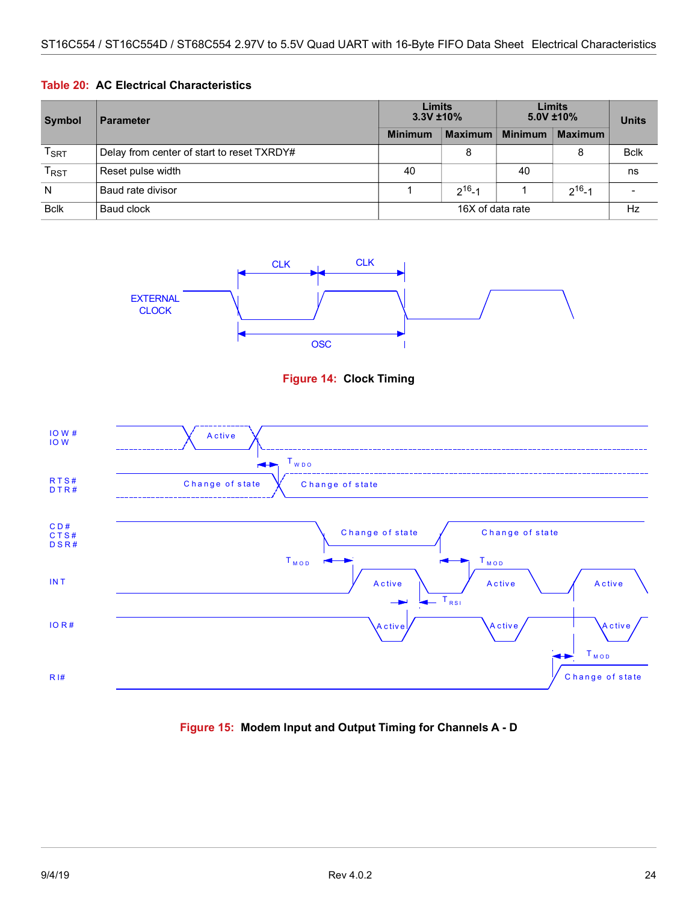#### **Table 20: AC Electrical Characteristics**

| <b>Symbol</b> | <b>Parameter</b>                           | <b>Limits</b><br>$3.3V \pm 10\%$ |                | Limits<br>$5.0V$ ±10% |                | <b>Units</b> |
|---------------|--------------------------------------------|----------------------------------|----------------|-----------------------|----------------|--------------|
|               |                                            | <b>Minimum</b>                   | <b>Maximum</b> | <b>Minimum</b>        | <b>Maximum</b> |              |
| $T_{\sf SRT}$ | Delay from center of start to reset TXRDY# |                                  | 8              |                       |                | <b>Bclk</b>  |
| $T_{RST}$     | Reset pulse width                          | 40                               |                | 40                    |                | ns           |
| N             | Baud rate divisor                          |                                  | $2^{16} - 1$   |                       | $2^{16} - 1$   |              |
| <b>Bclk</b>   | Baud clock                                 | 16X of data rate                 |                | Hz                    |                |              |





<span id="page-29-0"></span>

<span id="page-29-1"></span>**Figure 15: Modem Input and Output Timing for Channels A - D**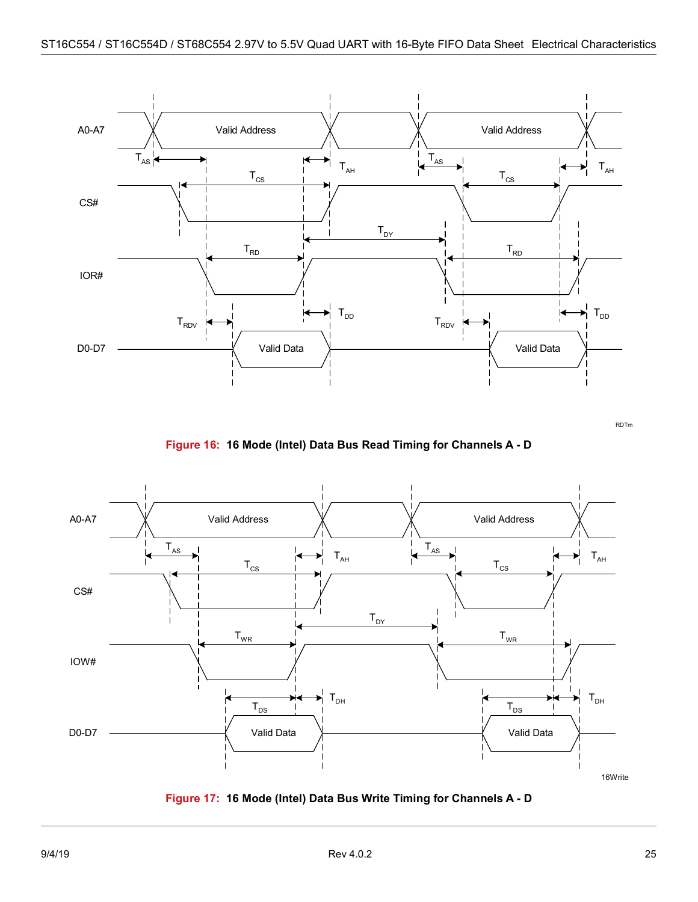

RDTm

**Figure 16: 16 Mode (Intel) Data Bus Read Timing for Channels A - D**

<span id="page-30-0"></span>

<span id="page-30-1"></span>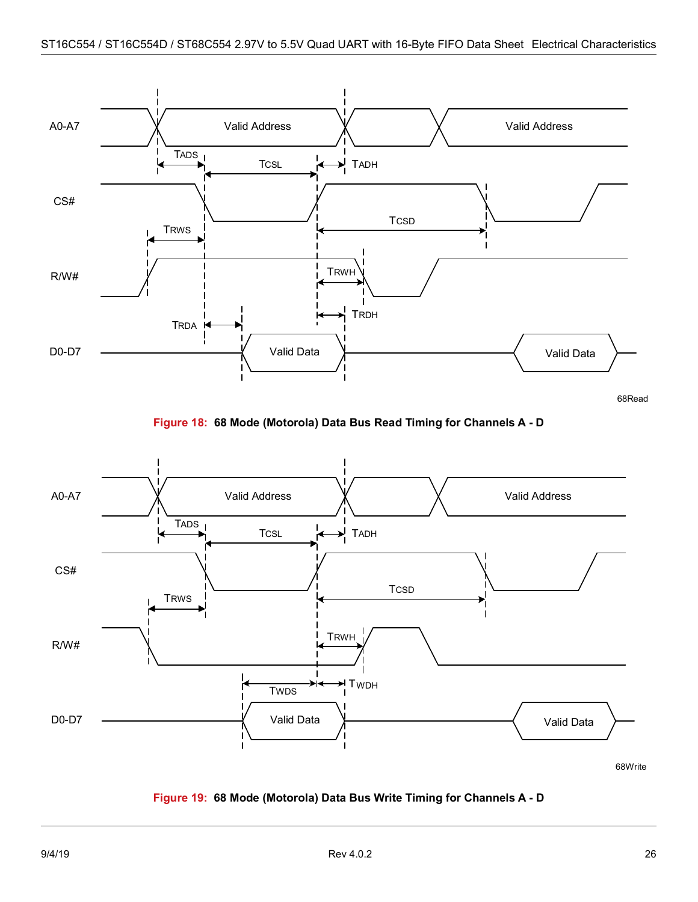

68Read

**Figure 18: 68 Mode (Motorola) Data Bus Read Timing for Channels A - D**

<span id="page-31-0"></span>

<span id="page-31-1"></span>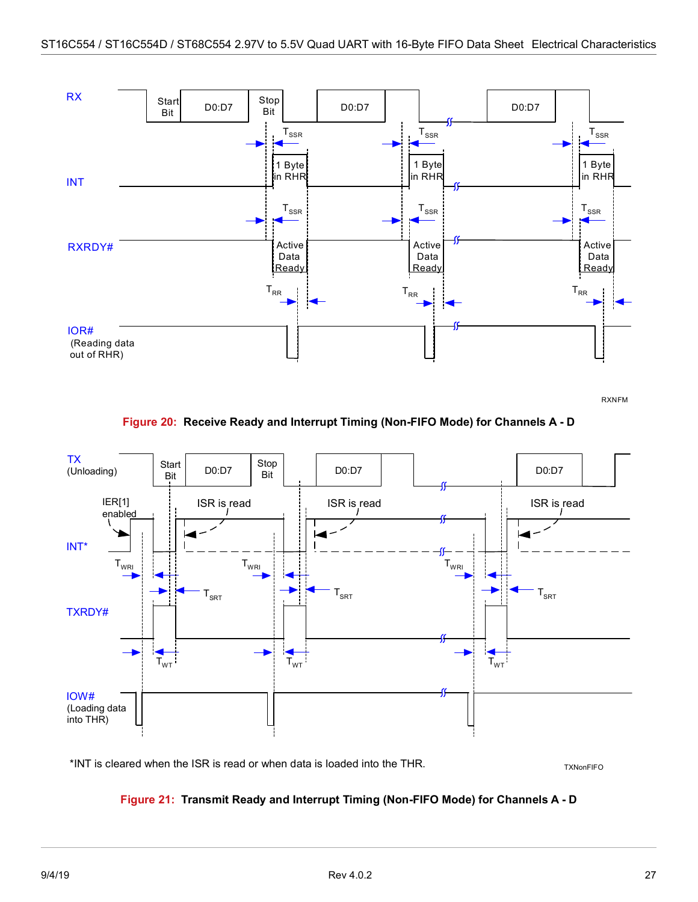

RXNFM

**Figure 20: Receive Ready and Interrupt Timing (Non-FIFO Mode) for Channels A - D**

<span id="page-32-0"></span>

<span id="page-32-1"></span>\*INT is cleared when the ISR is read or when data is loaded into the THR.

**TXNonFIFO** 

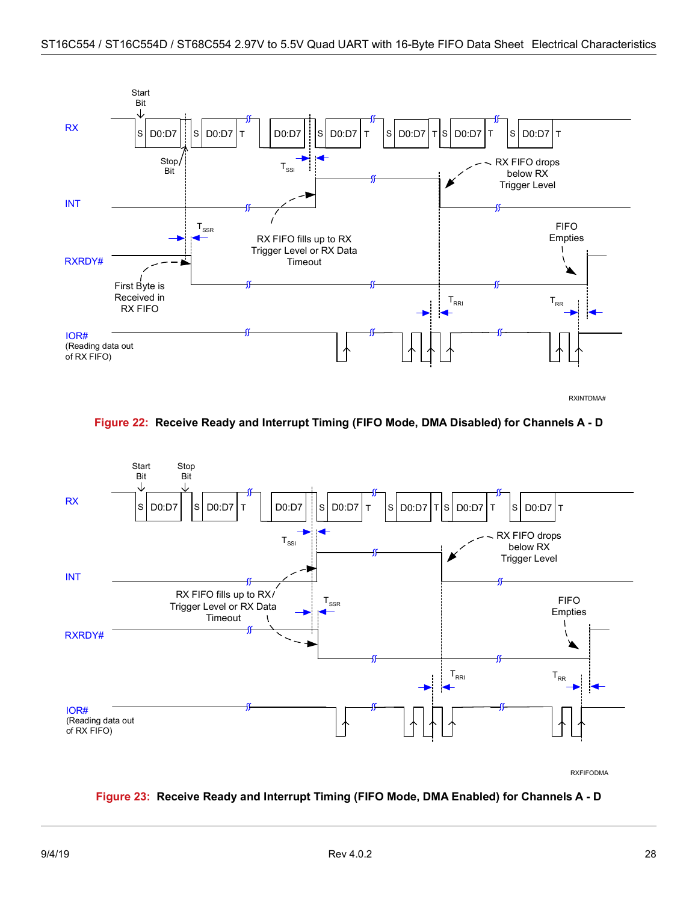

RXINTDMA#

**Figure 22: Receive Ready and Interrupt Timing (FIFO Mode, DMA Disabled) for Channels A - D**

<span id="page-33-0"></span>

#### <span id="page-33-1"></span>**Figure 23: Receive Ready and Interrupt Timing (FIFO Mode, DMA Enabled) for Channels A - D**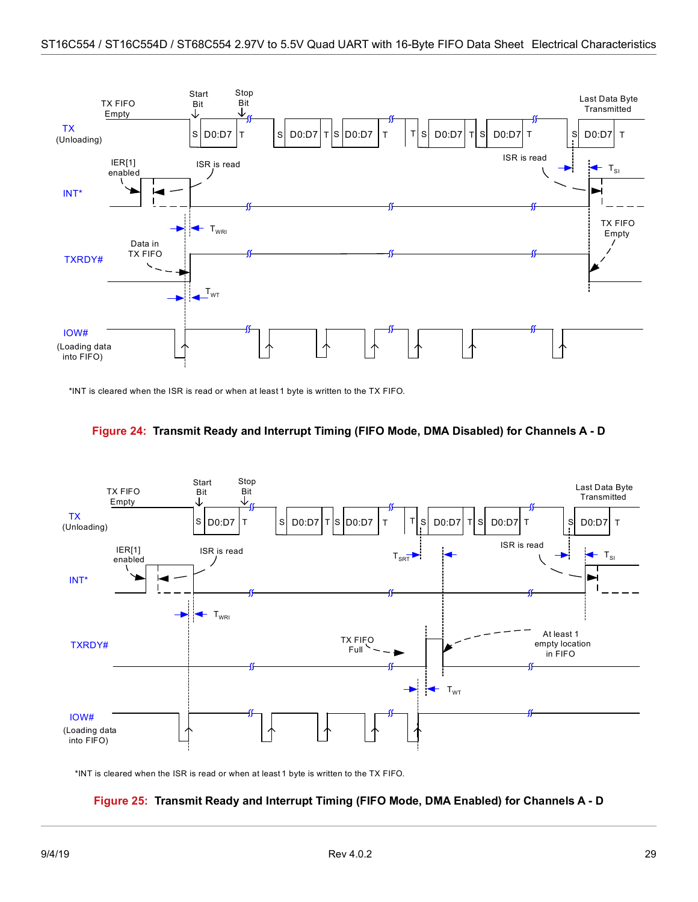

\*INT is cleared when the ISR is read or when at least 1 byte is written to the TX FIFO.

<span id="page-34-0"></span>



<span id="page-34-1"></span>\*INT is cleared when the ISR is read or when at least 1 byte is written to the TX FIFO.

#### **Figure 25: Transmit Ready and Interrupt Timing (FIFO Mode, DMA Enabled) for Channels A - D**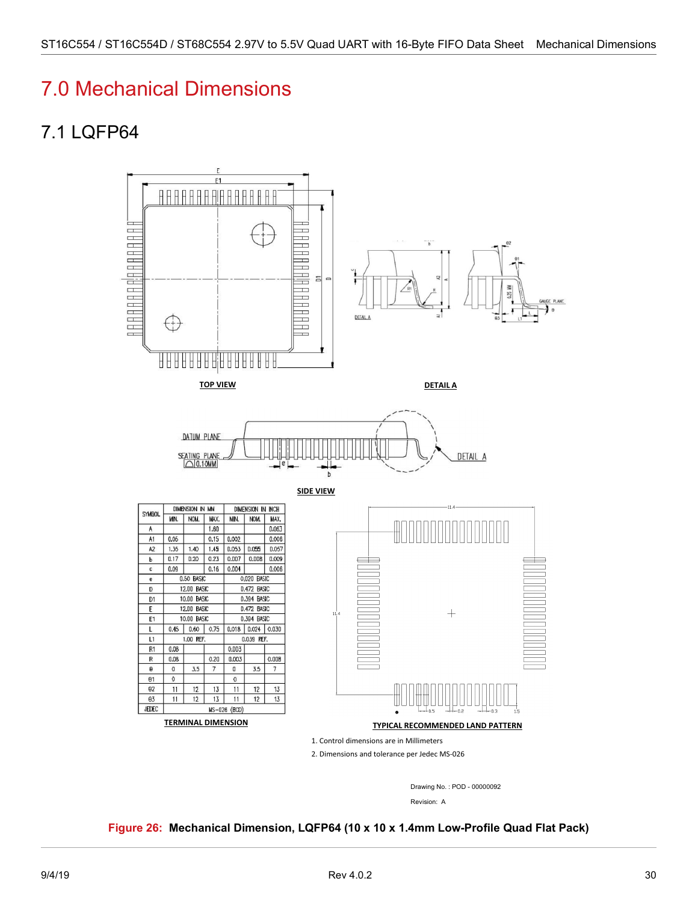# <span id="page-35-0"></span>7.0 Mechanical Dimensions

# <span id="page-35-1"></span>7.1 LQFP64



Drawing No. : POD - 00000092

Revision: A

#### <span id="page-35-2"></span>**Figure 26: Mechanical Dimension, LQFP64 (10 x 10 x 1.4mm Low-Profile Quad Flat Pack)**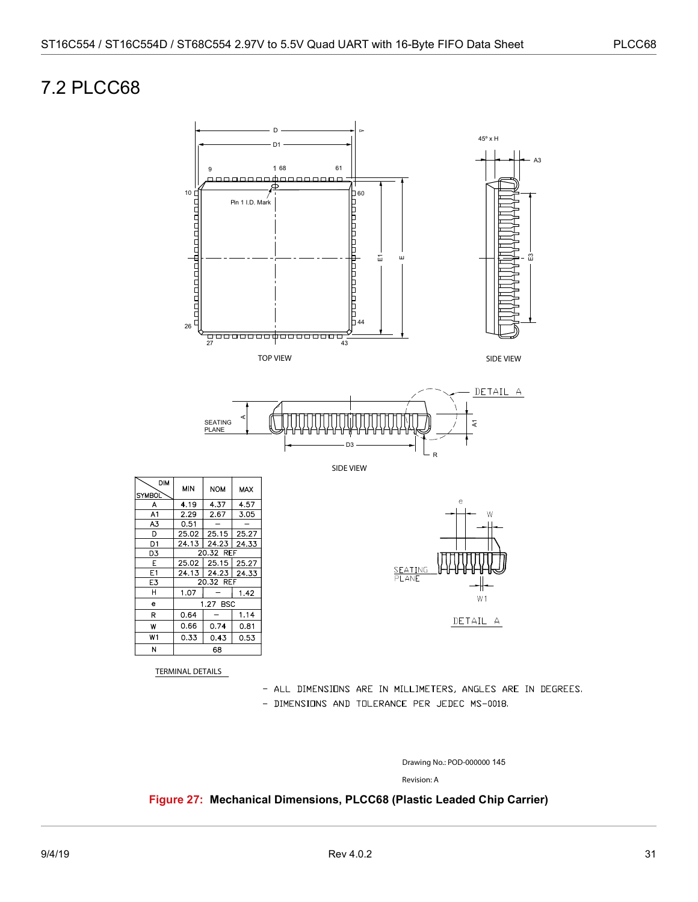## <span id="page-36-0"></span>7.2 PLCC68



TERMINAL DETAILS

- ALL DIMENSIONS ARE IN MILLIMETERS, ANGLES ARE IN DEGREES.
- DIMENSIONS AND TOLERANCE PER JEDEC MS-0018.

Drawing No.: POD-000000 145

Revision: A

<span id="page-36-1"></span>**Figure 27: Mechanical Dimensions, PLCC68 (Plastic Leaded Chip Carrier)**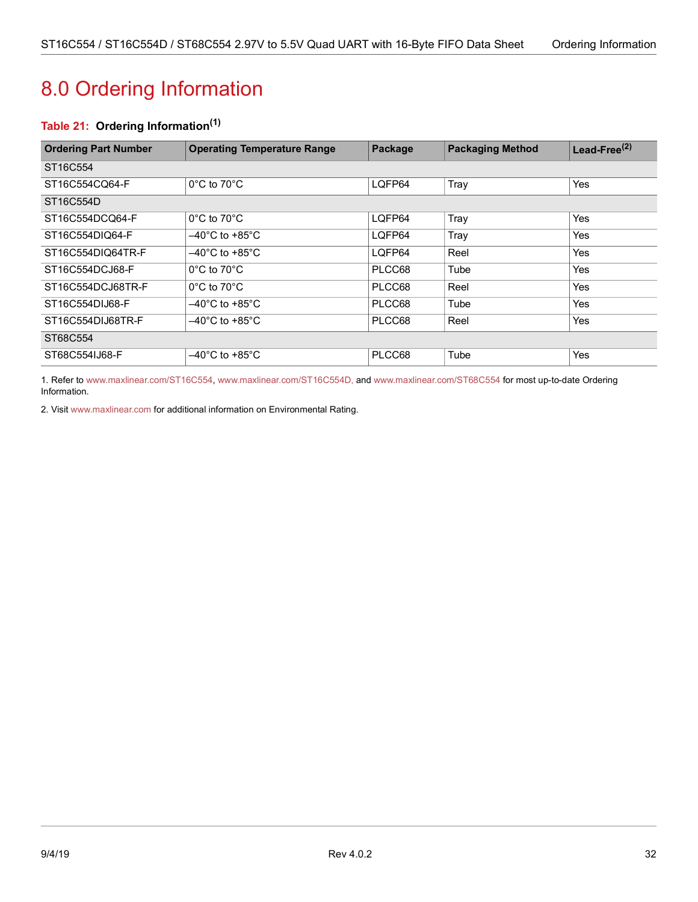# <span id="page-37-1"></span><span id="page-37-0"></span>8.0 Ordering Information

### <span id="page-37-2"></span>**Table 21: Ordering Information(1)**

| <b>Ordering Part Number</b>       | <b>Operating Temperature Range</b>       | Package | <b>Packaging Method</b> | Lead-Free $^{(2)}$ |  |
|-----------------------------------|------------------------------------------|---------|-------------------------|--------------------|--|
| ST <sub>16</sub> C <sub>554</sub> |                                          |         |                         |                    |  |
| ST16C554CQ64-F                    | $0^{\circ}$ C to $70^{\circ}$ C          | LQFP64  | Tray                    | Yes                |  |
| ST16C554D                         |                                          |         |                         |                    |  |
| ST16C554DCQ64-F                   | $0^{\circ}$ C to 70 $^{\circ}$ C         | LQFP64  | Tray                    | Yes                |  |
| ST16C554DIQ64-F                   | $-40^{\circ}$ C to +85 $^{\circ}$ C $\,$ | LQFP64  | Tray                    | Yes                |  |
| ST16C554DIQ64TR-F                 | $-40^{\circ}$ C to +85 $^{\circ}$ C      | LQFP64  | Reel                    | Yes                |  |
| ST16C554DCJ68-F                   | $0^{\circ}$ C to $70^{\circ}$ C          | PLCC68  | Tube                    | Yes                |  |
| ST16C554DCJ68TR-F                 | $0^{\circ}$ C to 70 $^{\circ}$ C         | PLCC68  | Reel                    | Yes                |  |
| ST16C554DIJ68-F                   | $-40^{\circ}$ C to +85 $^{\circ}$ C      | PLCC68  | Tube                    | Yes                |  |
| ST16C554DIJ68TR-F                 | $-40^{\circ}$ C to +85 $^{\circ}$ C      | PLCC68  | Reel                    | Yes                |  |
| ST68C554                          |                                          |         |                         |                    |  |
| ST68C554IJ68-F                    | $-40^{\circ}$ C to +85 $^{\circ}$ C      | PLCC68  | Tube                    | Yes                |  |

1. Refer to [www.maxlinear.com/ST16C554,](http://www.maxlinear.com/ST16C554)[www.maxlinear.com/ST16C554D,](http://www.maxlinear.com/ST16C554D) and [www.maxlinear.com/ST68C554](http://www.maxlinear.com/ST68C554) for most up-to-date Ordering Information.

2. Visit[www.maxlinear.com](http://www.maxlinear.com) for additional information on Environmental Rating.